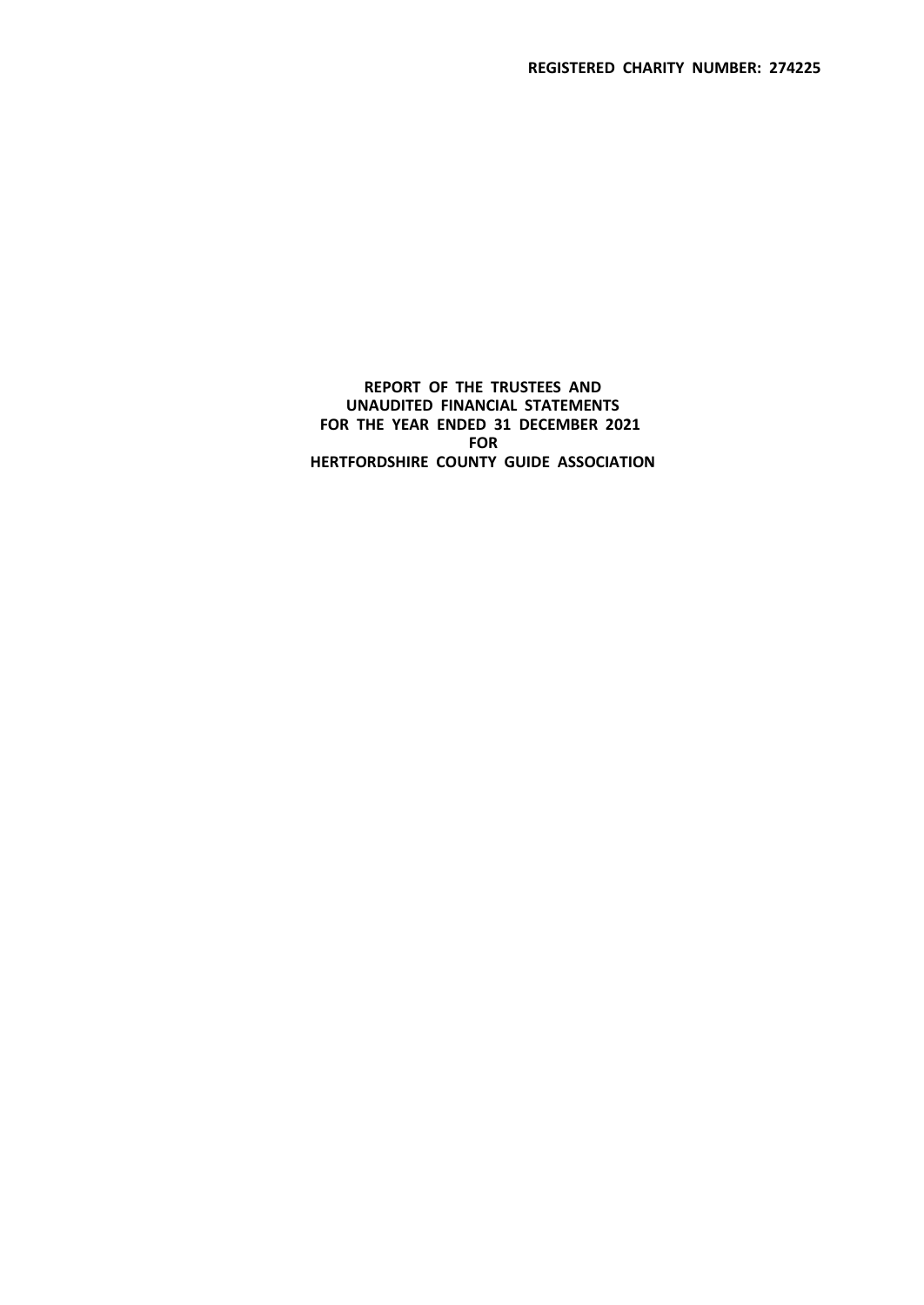**REPORT OF THE TRUSTEES AND UNAUDITED FINANCIAL STATEMENTS FOR THE YEAR ENDED 31 DECEMBER 2021 FOR HERTFORDSHIRE COUNTY GUIDE ASSOCIATION**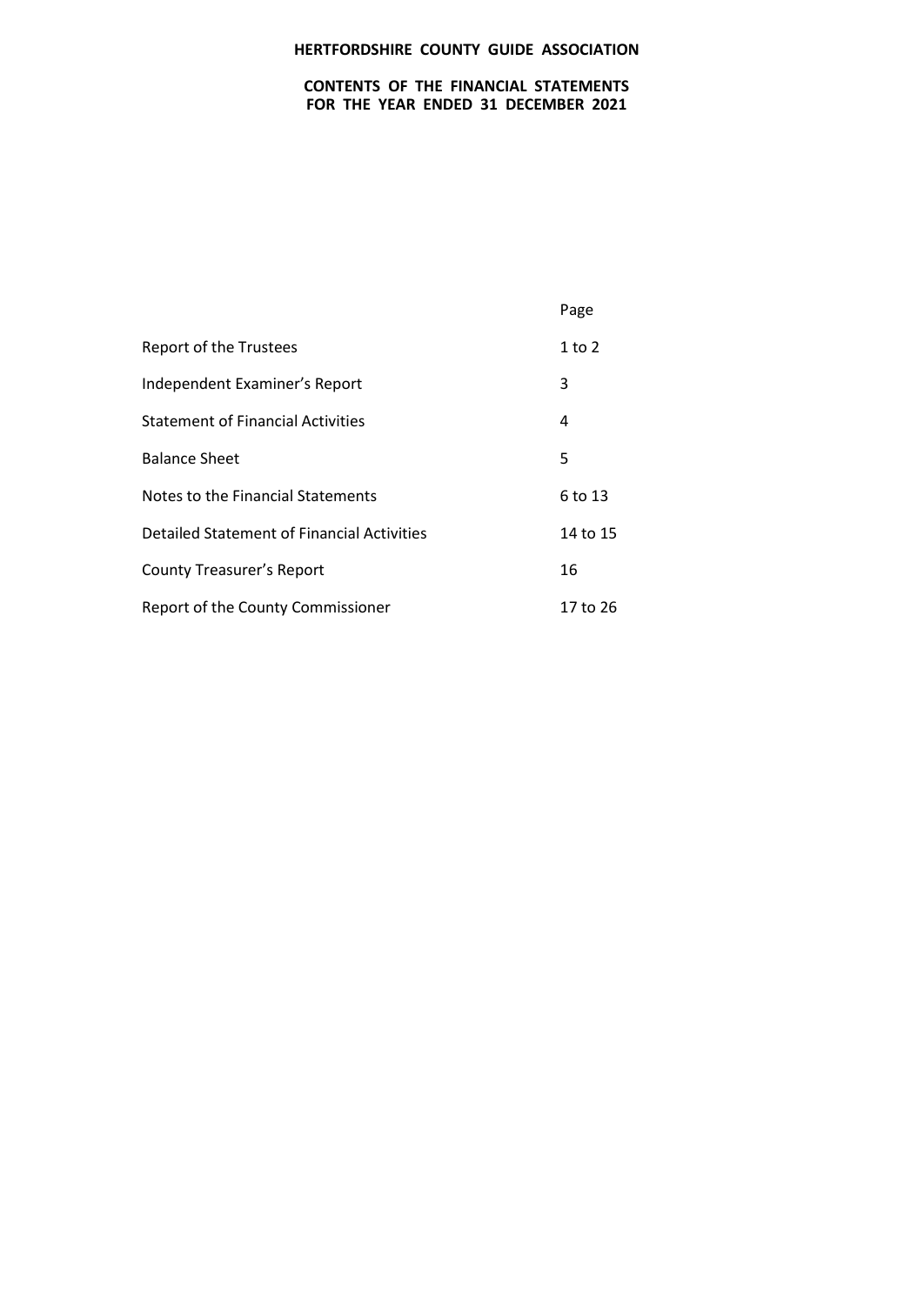## **CONTENTS OF THE FINANCIAL STATEMENTS FOR THE YEAR ENDED 31 DECEMBER 2021**

|                                            | Page       |
|--------------------------------------------|------------|
| <b>Report of the Trustees</b>              | $1$ to $2$ |
| Independent Examiner's Report              | 3          |
| <b>Statement of Financial Activities</b>   | 4          |
| <b>Balance Sheet</b>                       | 5          |
| Notes to the Financial Statements          | 6 to 13    |
| Detailed Statement of Financial Activities | 14 to 15   |
| <b>County Treasurer's Report</b>           | 16         |
| Report of the County Commissioner          | 17 to 26   |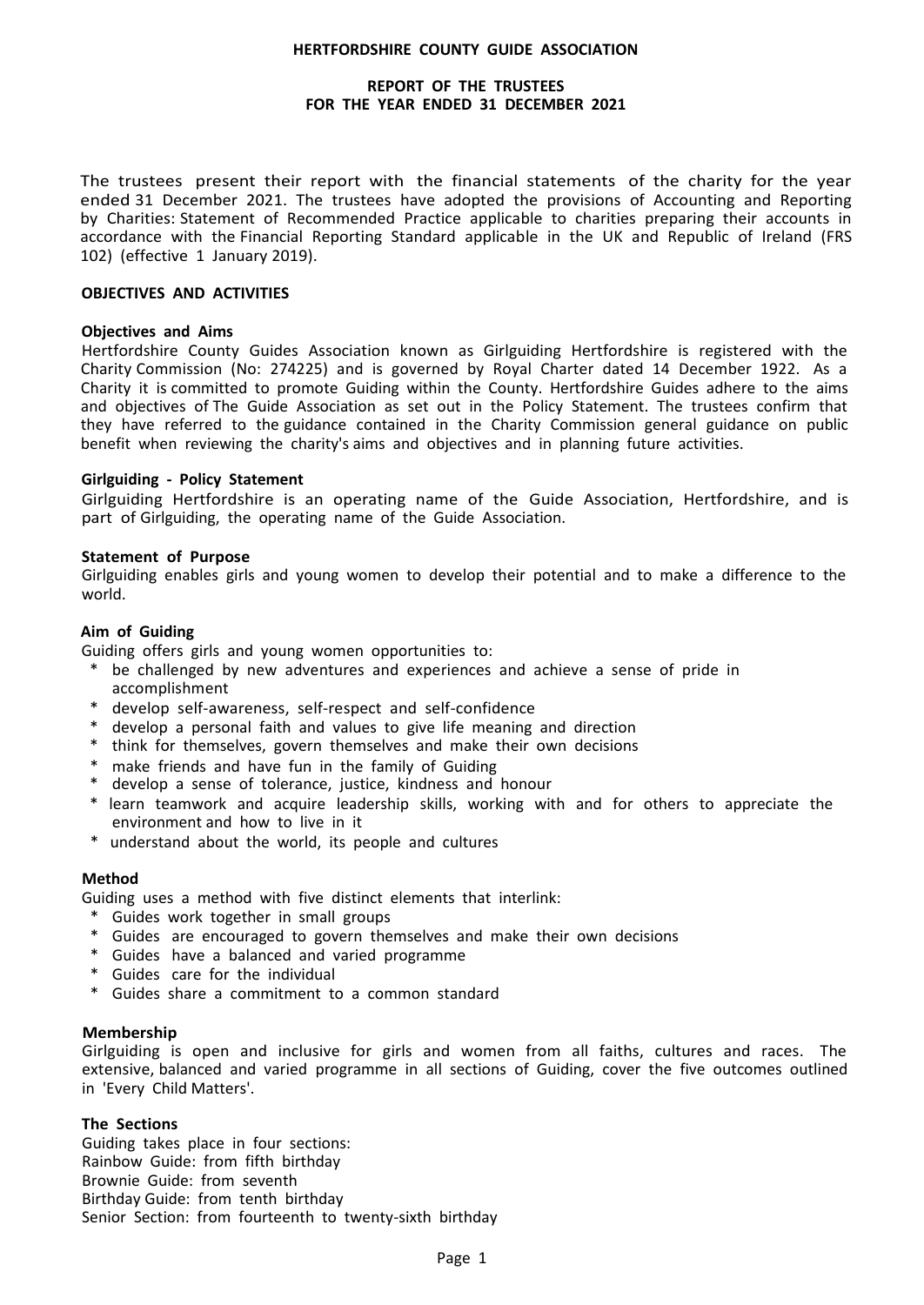### **REPORT OF THE TRUSTEES FOR THE YEAR ENDED 31 DECEMBER 2021**

The trustees present their report with the financial statements of the charity for the year ended 31 December 2021. The trustees have adopted the provisions of Accounting and Reporting by Charities: Statement of Recommended Practice applicable to charities preparing their accounts in accordance with the Financial Reporting Standard applicable in the UK and Republic of Ireland (FRS 102) (effective 1 January 2019).

### **OBJECTIVES AND ACTIVITIES**

### **Objectives and Aims**

Hertfordshire County Guides Association known as Girlguiding Hertfordshire is registered with the Charity Commission (No: 274225) and is governed by Royal Charter dated 14 December 1922. As a Charity it is committed to promote Guiding within the County. Hertfordshire Guides adhere to the aims and objectives of The Guide Association as set out in the Policy Statement. The trustees confirm that they have referred to the guidance contained in the Charity Commission general guidance on public benefit when reviewing the charity's aims and objectives and in planning future activities.

### **Girlguiding - Policy Statement**

Girlguiding Hertfordshire is an operating name of the Guide Association, Hertfordshire, and is part of Girlguiding, the operating name of the Guide Association.

### **Statement of Purpose**

Girlguiding enables girls and young women to develop their potential and to make a difference to the world.

### **Aim of Guiding**

Guiding offers girls and young women opportunities to:

- \* be challenged by new adventures and experiences and achieve a sense of pride in accomplishment
- \* develop self-awareness, self-respect and self-confidence
- \* develop a personal faith and values to give life meaning and direction
- \* think for themselves, govern themselves and make their own decisions
- \* make friends and have fun in the family of Guiding
- develop a sense of tolerance, justice, kindness and honour
- \* learn teamwork and acquire leadership skills, working with and for others to appreciate the environment and how to live in it
- \* understand about the world, its people and cultures

#### **Method**

Guiding uses a method with five distinct elements that interlink:

- \* Guides work together in small groups
- \* Guides are encouraged to govern themselves and make their own decisions
- \* Guides have a balanced and varied programme
- \* Guides care for the individual
- \* Guides share a commitment to a common standard

### **Membership**

Girlguiding is open and inclusive for girls and women from all faiths, cultures and races. The extensive, balanced and varied programme in all sections of Guiding, cover the five outcomes outlined in 'Every Child Matters'.

### **The Sections**

Guiding takes place in four sections: Rainbow Guide: from fifth birthday Brownie Guide: from seventh Birthday Guide: from tenth birthday Senior Section: from fourteenth to twenty-sixth birthday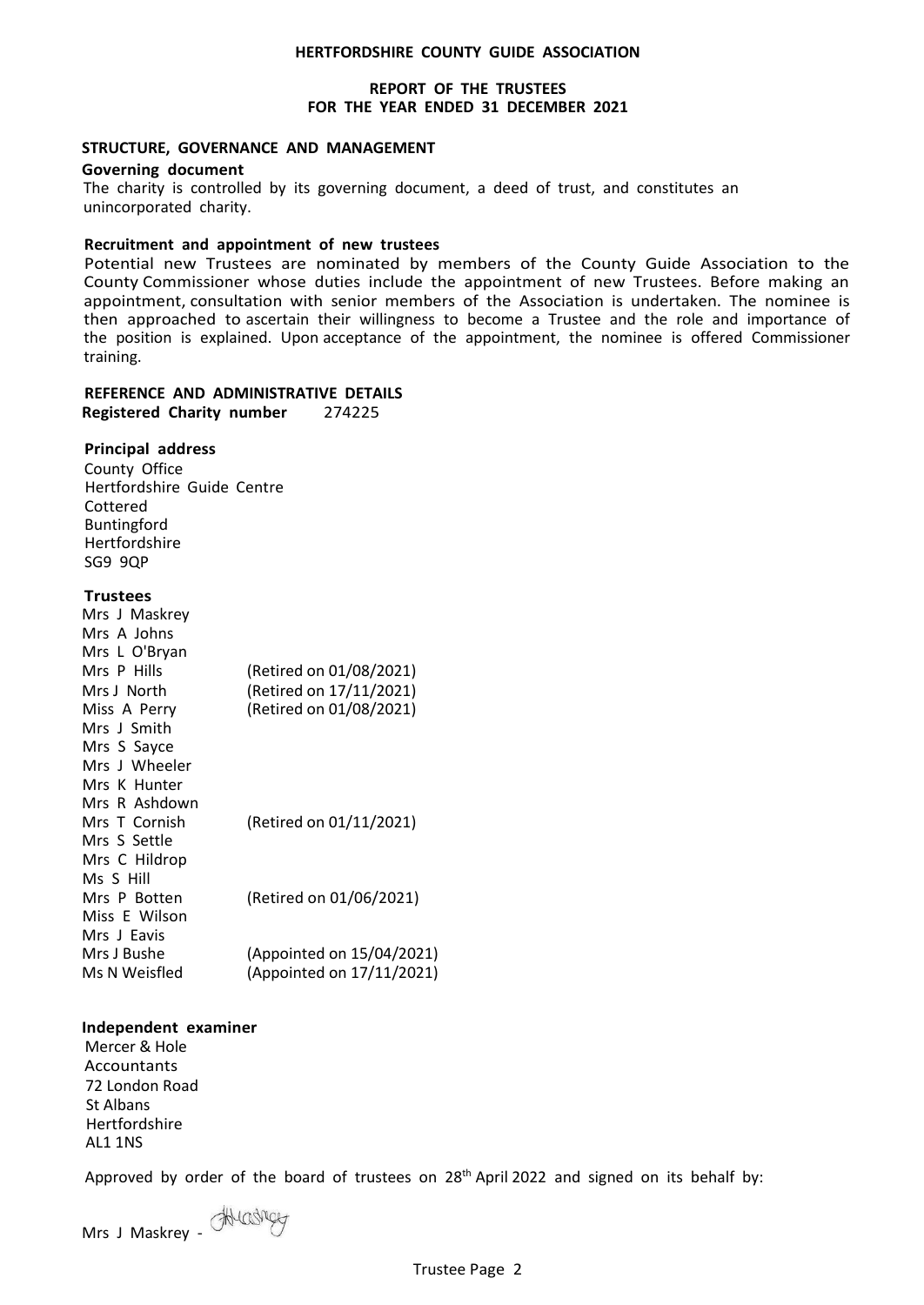### **REPORT OF THE TRUSTEES FOR THE YEAR ENDED 31 DECEMBER 2021**

#### **STRUCTURE, GOVERNANCE AND MANAGEMENT**

#### **Governing document**

The charity is controlled by its governing document, a deed of trust, and constitutes an unincorporated charity.

### **Recruitment and appointment of new trustees**

Potential new Trustees are nominated by members of the County Guide Association to the County Commissioner whose duties include the appointment of new Trustees. Before making an appointment, consultation with senior members of the Association is undertaken. The nominee is then approached to ascertain their willingness to become a Trustee and the role and importance of the position is explained. Upon acceptance of the appointment, the nominee is offered Commissioner training.

# **REFERENCE AND ADMINISTRATIVE DETAILS**

**Registered Charity number** 274225

### **Principal address**

County Office Hertfordshire Guide Centre Cottered Buntingford Hertfordshire SG9 9QP

### **Trustees**

| Mrs J Maskrey |                           |
|---------------|---------------------------|
| Mrs A Johns   |                           |
| Mrs L O'Bryan |                           |
| Mrs P Hills   | (Retired on 01/08/2021)   |
| Mrs J North   | (Retired on 17/11/2021)   |
| Miss A Perry  | (Retired on 01/08/2021)   |
| Mrs J Smith   |                           |
| Mrs S Sayce   |                           |
| Mrs J Wheeler |                           |
| Mrs K Hunter  |                           |
| Mrs R Ashdown |                           |
| Mrs T Cornish | (Retired on 01/11/2021)   |
| Mrs S Settle  |                           |
| Mrs C Hildrop |                           |
| Ms S Hill     |                           |
| Mrs P Botten  | (Retired on 01/06/2021)   |
| Miss E Wilson |                           |
| Mrs J Eavis   |                           |
| Mrs J Bushe   | (Appointed on 15/04/2021) |
| Ms N Weisfled | (Appointed on 17/11/2021) |
|               |                           |

### **Independent examiner**

Mercer & Hole Accountants 72 London Road St Albans Hertfordshire AL1 1NS

Approved by order of the board of trustees on 28<sup>th</sup> April 2022 and signed on its behalf by: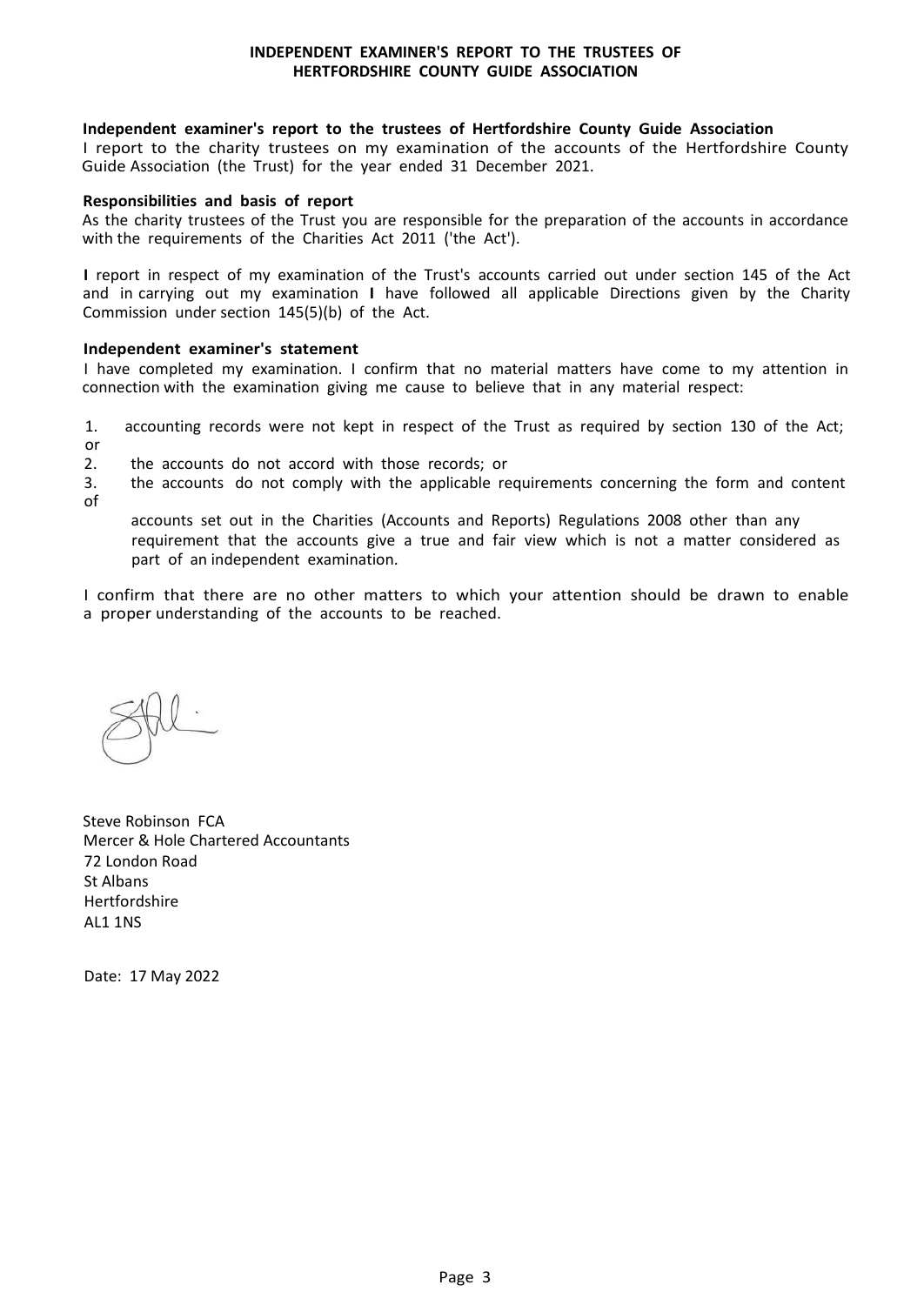#### **INDEPENDENT EXAMINER'S REPORT TO THE TRUSTEES OF HERTFORDSHIRE COUNTY GUIDE ASSOCIATION**

### **Independent examiner's report to the trustees of Hertfordshire County Guide Association**

I report to the charity trustees on my examination of the accounts of the Hertfordshire County Guide Association (the Trust) for the year ended 31 December 2021.

#### **Responsibilities and basis of report**

As the charity trustees of the Trust you are responsible for the preparation of the accounts in accordance with the requirements of the Charities Act 2011 ('the Act').

**I** report in respect of my examination of the Trust's accounts carried out under section 145 of the Act and in carrying out my examination **I** have followed all applicable Directions given by the Charity Commission under section 145(5)(b) of the Act.

### **Independent examiner's statement**

I have completed my examination. I confirm that no material matters have come to my attention in connection with the examination giving me cause to believe that in any material respect:

1. accounting records were not kept in respect of the Trust as required by section 130 of the Act;

or<br>2 2. the accounts do not accord with those records; or

3. the accounts do not comply with the applicable requirements concerning the form and content of

accounts set out in the Charities (Accounts and Reports) Regulations 2008 other than any requirement that the accounts give a true and fair view which is not a matter considered as part of an independent examination.

I confirm that there are no other matters to which your attention should be drawn to enable a proper understanding of the accounts to be reached.

Steve Robinson FCA Mercer & Hole Chartered Accountants 72 London Road St Albans Hertfordshire AL1 1NS

Date: 17 May 2022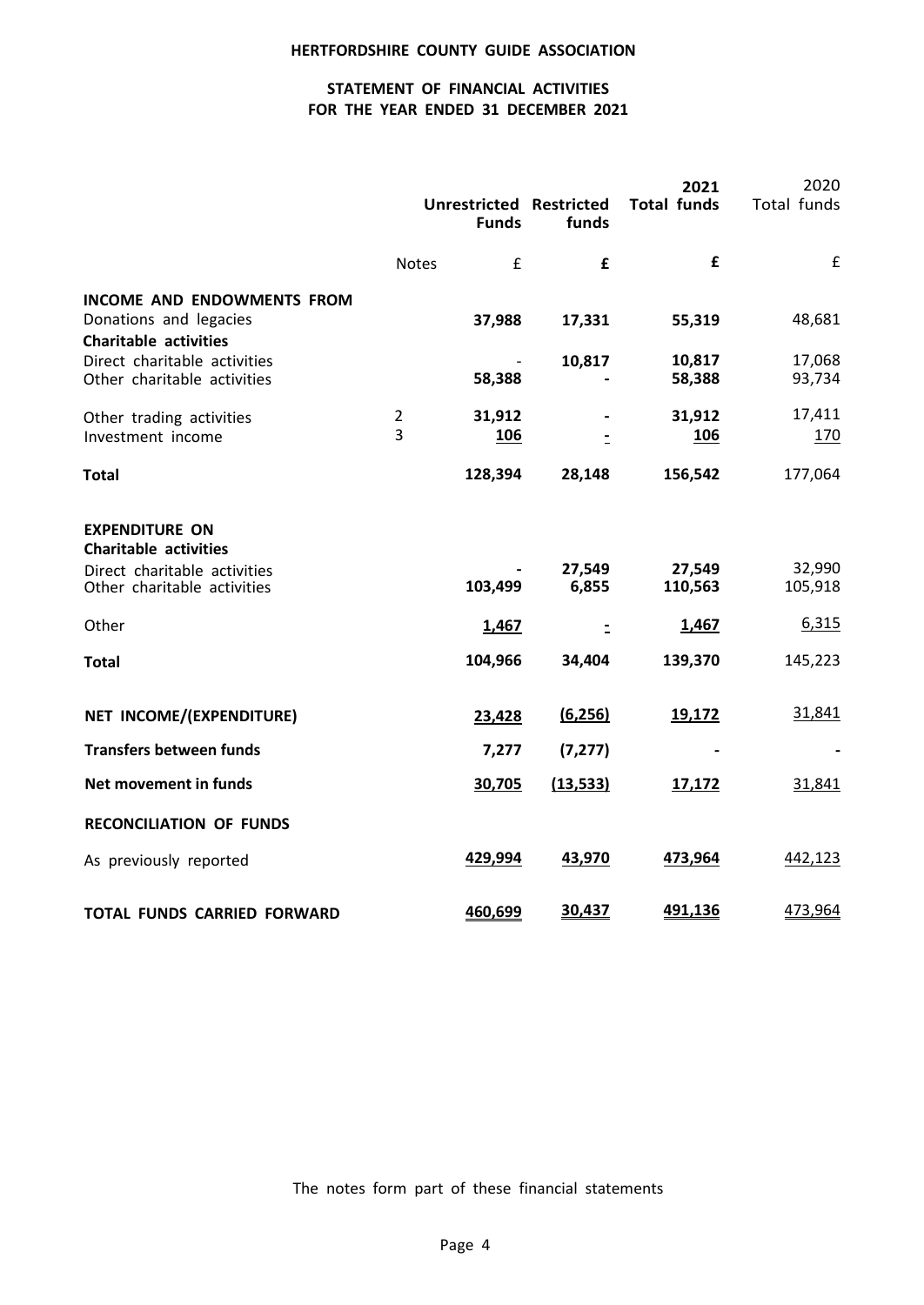# **STATEMENT OF FINANCIAL ACTIVITIES FOR THE YEAR ENDED 31 DECEMBER 2021**

|                                                                                                                               |                     | <b>Funds</b>            | <b>Unrestricted Restricted</b><br>funds | 2021<br><b>Total funds</b> | 2020<br>Total funds        |
|-------------------------------------------------------------------------------------------------------------------------------|---------------------|-------------------------|-----------------------------------------|----------------------------|----------------------------|
|                                                                                                                               | <b>Notes</b>        | £                       | £                                       | £                          | £                          |
| <b>INCOME AND ENDOWMENTS FROM</b><br>Donations and legacies<br><b>Charitable activities</b>                                   |                     | 37,988                  | 17,331                                  | 55,319                     | 48,681                     |
| Direct charitable activities<br>Other charitable activities                                                                   |                     | 58,388                  | 10,817                                  | 10,817<br>58,388           | 17,068<br>93,734           |
| Other trading activities<br>Investment income                                                                                 | $\overline{2}$<br>3 | 31,912<br>106           | $\overline{a}$                          | 31,912<br><u>106</u>       | 17,411<br>170              |
| <b>Total</b>                                                                                                                  |                     | 128,394                 | 28,148                                  | 156,542                    | 177,064                    |
| <b>EXPENDITURE ON</b><br><b>Charitable activities</b><br>Direct charitable activities<br>Other charitable activities<br>Other |                     | 103,499<br><u>1,467</u> | 27,549<br>6,855                         | 27,549<br>110,563<br>1,467 | 32,990<br>105,918<br>6,315 |
|                                                                                                                               |                     | 104,966                 | $\bar{z}$<br>34,404                     | 139,370                    | 145,223                    |
| <b>Total</b><br>NET INCOME/(EXPENDITURE)                                                                                      |                     | 23,428                  | (6, 256)                                | 19,172                     | 31,841                     |
| <b>Transfers between funds</b>                                                                                                |                     | 7,277                   | (7, 277)                                |                            |                            |
| Net movement in funds                                                                                                         |                     | 30,705                  | (13, 533)                               | 17,172                     | 31,841                     |
| <b>RECONCILIATION OF FUNDS</b>                                                                                                |                     |                         |                                         |                            |                            |
| As previously reported                                                                                                        |                     | 429,994                 | 43,970                                  | 473,964                    | 442,123                    |
| <b>TOTAL FUNDS CARRIED FORWARD</b>                                                                                            |                     | 460,699                 | 30,437                                  | 491,136                    | 473,964                    |

The notes form part of these financial statements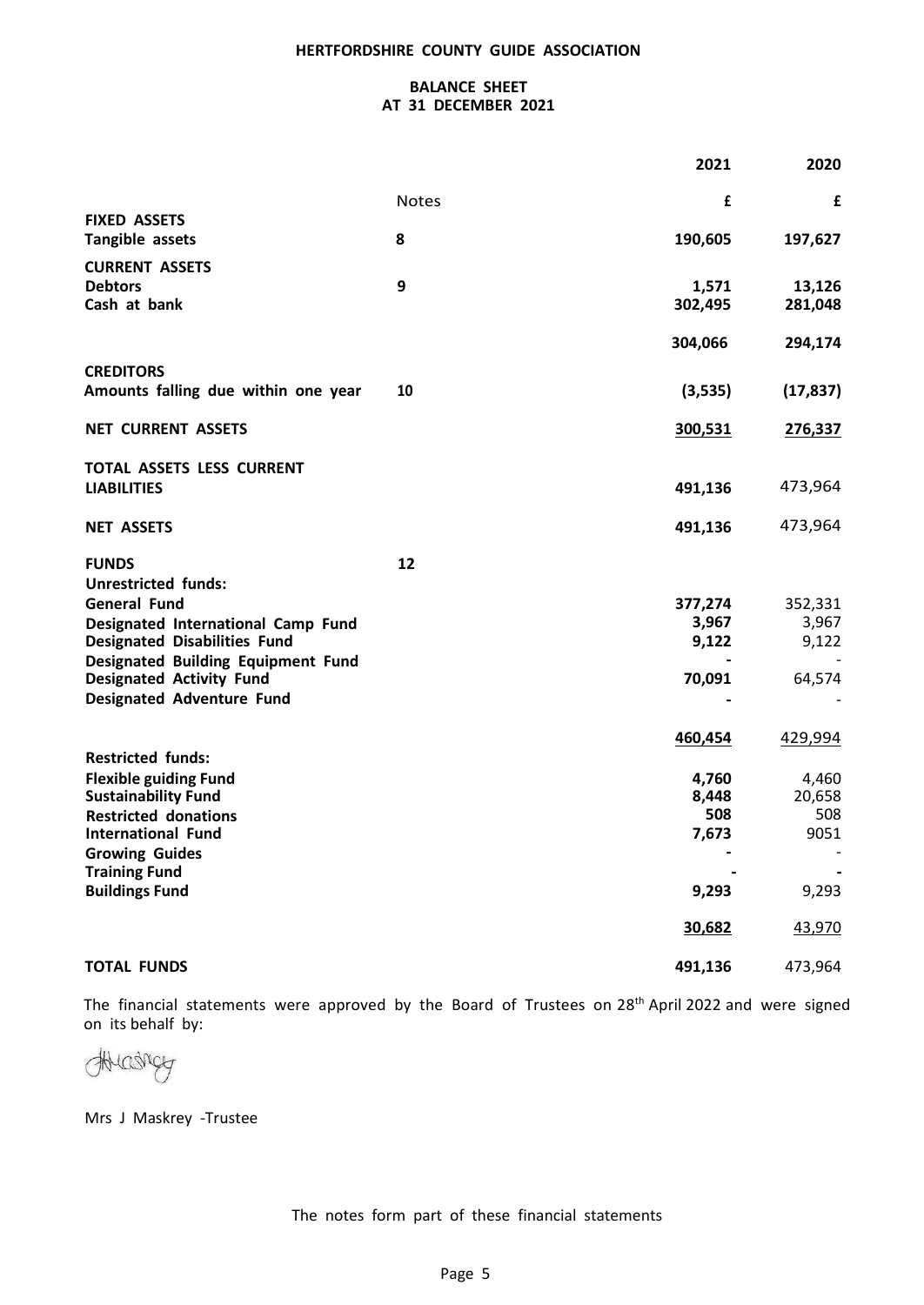### **BALANCE SHEET AT 31 DECEMBER 2021**

|                                                          |              | 2021    | 2020        |
|----------------------------------------------------------|--------------|---------|-------------|
|                                                          | <b>Notes</b> | £       | £           |
| <b>FIXED ASSETS</b><br>Tangible assets                   | 8            | 190,605 | 197,627     |
|                                                          |              |         |             |
| <b>CURRENT ASSETS</b><br><b>Debtors</b>                  | 9            | 1,571   | 13,126      |
| Cash at bank                                             |              | 302,495 | 281,048     |
|                                                          |              |         |             |
|                                                          |              | 304,066 | 294,174     |
| <b>CREDITORS</b>                                         |              |         |             |
| Amounts falling due within one year                      | 10           | (3,535) | (17, 837)   |
|                                                          |              |         |             |
| <b>NET CURRENT ASSETS</b>                                |              | 300,531 | 276,337     |
| TOTAL ASSETS LESS CURRENT                                |              |         |             |
| <b>LIABILITIES</b>                                       |              | 491,136 | 473,964     |
|                                                          |              |         |             |
| <b>NET ASSETS</b>                                        |              | 491,136 | 473,964     |
|                                                          |              |         |             |
| <b>FUNDS</b><br><b>Unrestricted funds:</b>               | 12           |         |             |
| <b>General Fund</b>                                      |              | 377,274 | 352,331     |
| Designated International Camp Fund                       |              | 3,967   | 3,967       |
| <b>Designated Disabilities Fund</b>                      |              | 9,122   | 9,122       |
| <b>Designated Building Equipment Fund</b>                |              |         |             |
| <b>Designated Activity Fund</b>                          |              | 70,091  | 64,574      |
| <b>Designated Adventure Fund</b>                         |              |         |             |
|                                                          |              | 460,454 | 429,994     |
| <b>Restricted funds:</b>                                 |              |         |             |
| <b>Flexible guiding Fund</b>                             |              | 4,760   | 4,460       |
| <b>Sustainability Fund</b>                               |              | 8,448   | 20,658      |
| <b>Restricted donations</b><br><b>International Fund</b> |              | 508     | 508<br>9051 |
| <b>Growing Guides</b>                                    |              | 7,673   |             |
| <b>Training Fund</b>                                     |              |         |             |
| <b>Buildings Fund</b>                                    |              | 9,293   | 9,293       |
|                                                          |              |         |             |
|                                                          |              | 30,682  | 43,970      |
| <b>TOTAL FUNDS</b>                                       |              | 491,136 | 473,964     |

The financial statements were approved by the Board of Trustees on 28<sup>th</sup> April 2022 and were signed on its behalf by:

Hudry

Mrs J Maskrey -Trustee

The notes form part of these financial statements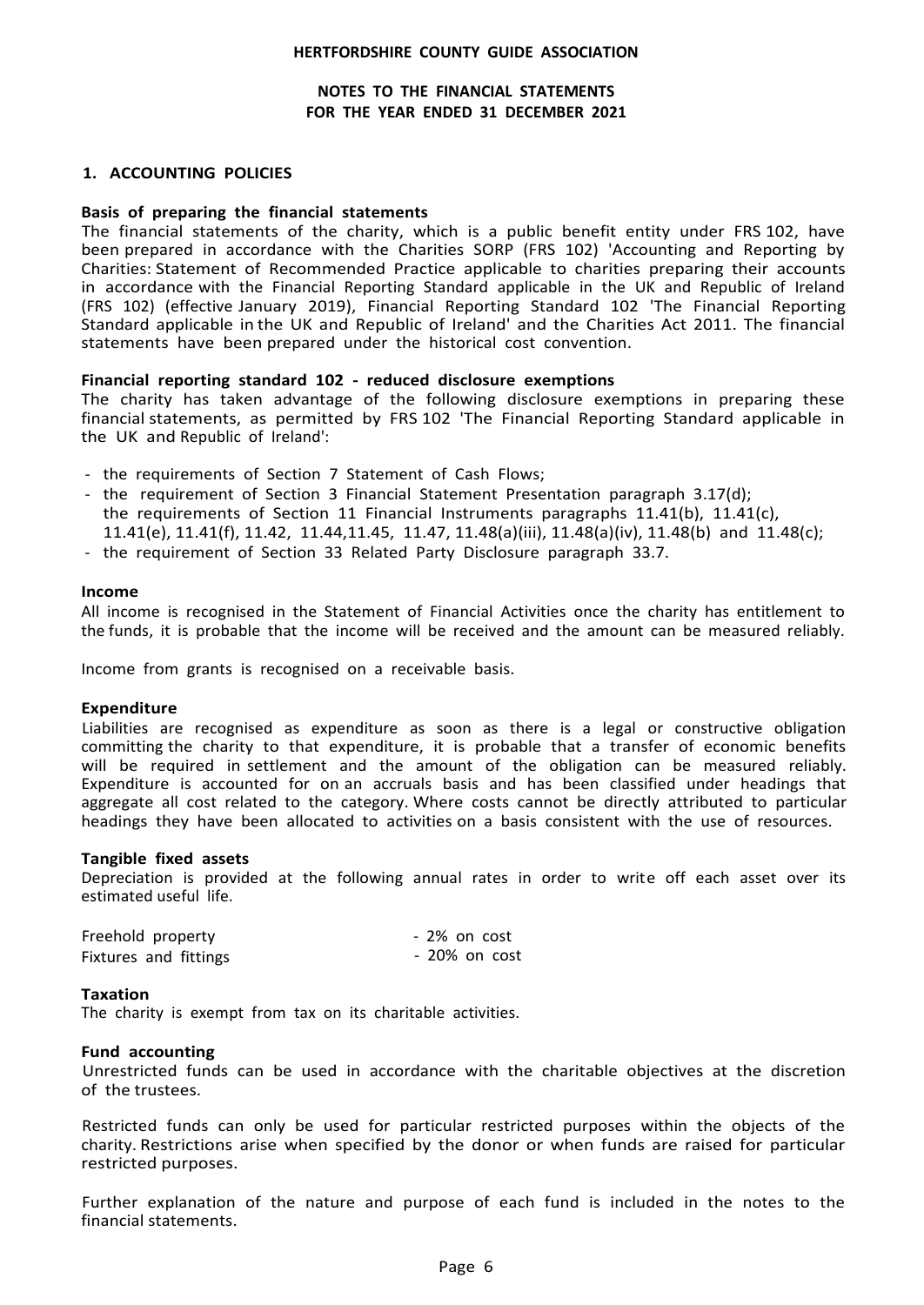### **NOTES TO THE FINANCIAL STATEMENTS FOR THE YEAR ENDED 31 DECEMBER 2021**

#### **1. ACCOUNTING POLICIES**

#### **Basis of preparing the financial statements**

The financial statements of the charity, which is a public benefit entity under FRS 102, have been prepared in accordance with the Charities SORP (FRS 102) 'Accounting and Reporting by Charities: Statement of Recommended Practice applicable to charities preparing their accounts in accordance with the Financial Reporting Standard applicable in the UK and Republic of Ireland (FRS 102) (effective January 2019), Financial Reporting Standard 102 'The Financial Reporting Standard applicable in the UK and Republic of Ireland' and the Charities Act 2011. The financial statements have been prepared under the historical cost convention.

#### **Financial reporting standard 102 - reduced disclosure exemptions**

The charity has taken advantage of the following disclosure exemptions in preparing these financial statements, as permitted by FRS 102 'The Financial Reporting Standard applicable in the UK and Republic of Ireland':

- the requirements of Section 7 Statement of Cash Flows;
- the requirement of Section 3 Financial Statement Presentation paragraph 3.17(d); the requirements of Section 11 Financial Instruments paragraphs 11.41(b), 11.41(c), 11.41(e), 11.41(f), 11.42, 11.44,11.45, 11.47, 11.48(a)(iii), 11.48(a)(iv), 11.48(b) and 11.48(c);
- the requirement of Section 33 Related Party Disclosure paragraph 33.7.

#### **Income**

All income is recognised in the Statement of Financial Activities once the charity has entitlement to the funds, it is probable that the income will be received and the amount can be measured reliably.

Income from grants is recognised on a receivable basis.

#### **Expenditure**

Liabilities are recognised as expenditure as soon as there is a legal or constructive obligation committing the charity to that expenditure, it is probable that a transfer of economic benefits will be required in settlement and the amount of the obligation can be measured reliably. Expenditure is accounted for on an accruals basis and has been classified under headings that aggregate all cost related to the category. Where costs cannot be directly attributed to particular headings they have been allocated to activities on a basis consistent with the use of resources.

#### **Tangible fixed assets**

Depreciation is provided at the following annual rates in order to write off each asset over its estimated useful life.

| Freehold property     | - 2% on cost  |
|-----------------------|---------------|
| Fixtures and fittings | - 20% on cost |

#### **Taxation**

The charity is exempt from tax on its charitable activities.

#### **Fund accounting**

Unrestricted funds can be used in accordance with the charitable objectives at the discretion of the trustees.

Restricted funds can only be used for particular restricted purposes within the objects of the charity. Restrictions arise when specified by the donor or when funds are raised for particular restricted purposes.

Further explanation of the nature and purpose of each fund is included in the notes to the financial statements.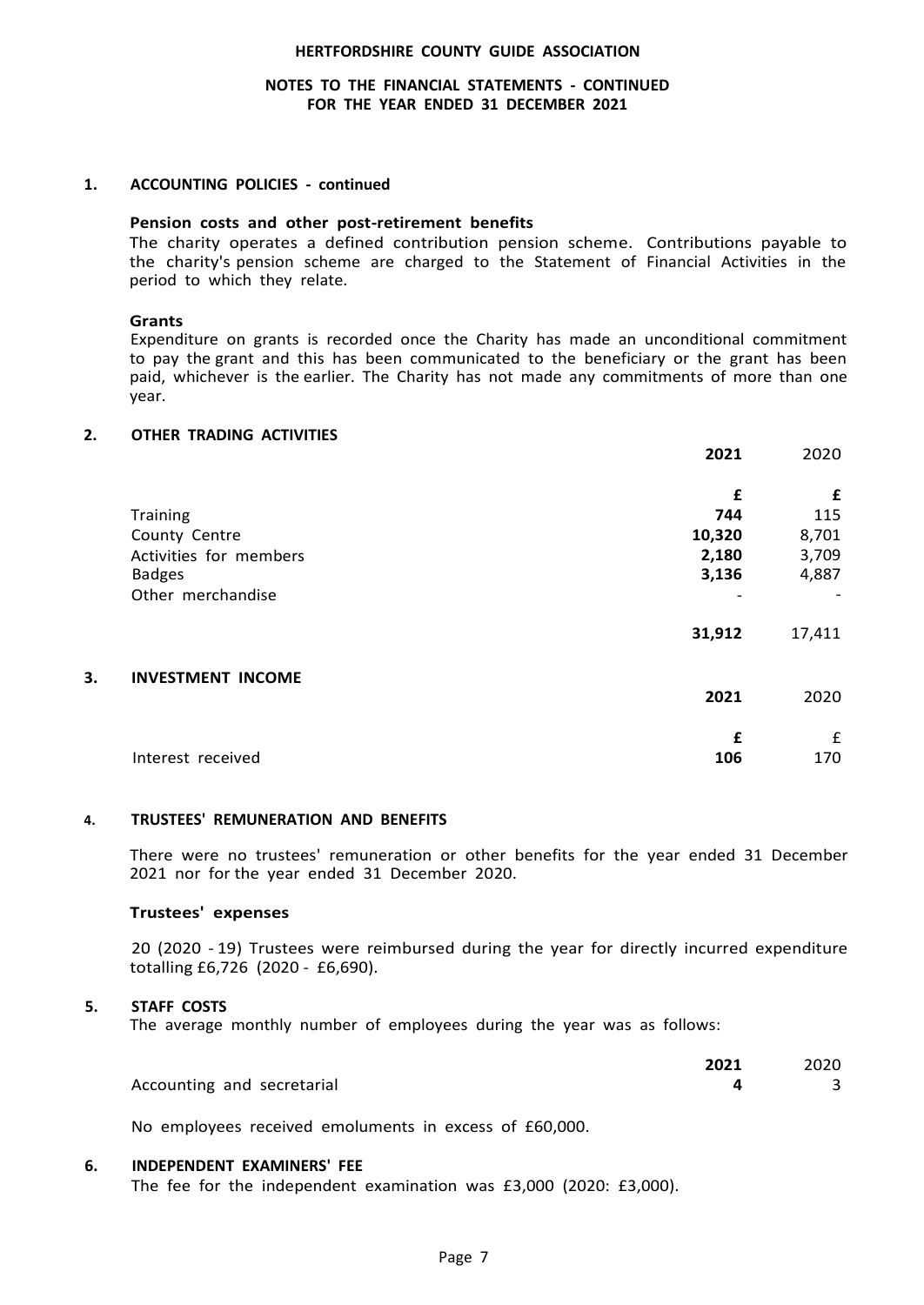### **NOTES TO THE FINANCIAL STATEMENTS - CONTINUED FOR THE YEAR ENDED 31 DECEMBER 2021**

#### **1. ACCOUNTING POLICIES - continued**

# **Pension costs and other post-retirement benefits**

The charity operates a defined contribution pension scheme. Contributions payable to the charity's pension scheme are charged to the Statement of Financial Activities in the period to which they relate.

#### **Grants**

Expenditure on grants is recorded once the Charity has made an unconditional commitment to pay the grant and this has been communicated to the beneficiary or the grant has been paid, whichever is the earlier. The Charity has not made any commitments of more than one year.

#### **2. OTHER TRADING ACTIVITIES**

|    |                          | 2021   | 2020   |
|----|--------------------------|--------|--------|
|    |                          | £      | £      |
|    | Training                 | 744    | 115    |
|    | County Centre            | 10,320 | 8,701  |
|    | Activities for members   | 2,180  | 3,709  |
|    | <b>Badges</b>            | 3,136  | 4,887  |
|    | Other merchandise        |        |        |
|    |                          | 31,912 | 17,411 |
| 3. | <b>INVESTMENT INCOME</b> | 2021   | 2020   |
|    |                          |        |        |
|    |                          | £      | £      |
|    | Interest received        | 106    | 170    |

#### **4. TRUSTEES' REMUNERATION AND BENEFITS**

There were no trustees' remuneration or other benefits for the year ended 31 December 2021 nor for the year ended 31 December 2020.

#### **Trustees' expenses**

20 (2020 - 19) Trustees were reimbursed during the year for directly incurred expenditure totalling £6,726 (2020 - £6,690).

#### **5. STAFF COSTS**

The average monthly number of employees during the year was as follows:

|                            | 2021 | 2020 |
|----------------------------|------|------|
| Accounting and secretarial |      |      |

No employees received emoluments in excess of £60,000.

#### **6. INDEPENDENT EXAMINERS' FEE**

The fee for the independent examination was £3,000 (2020: £3,000).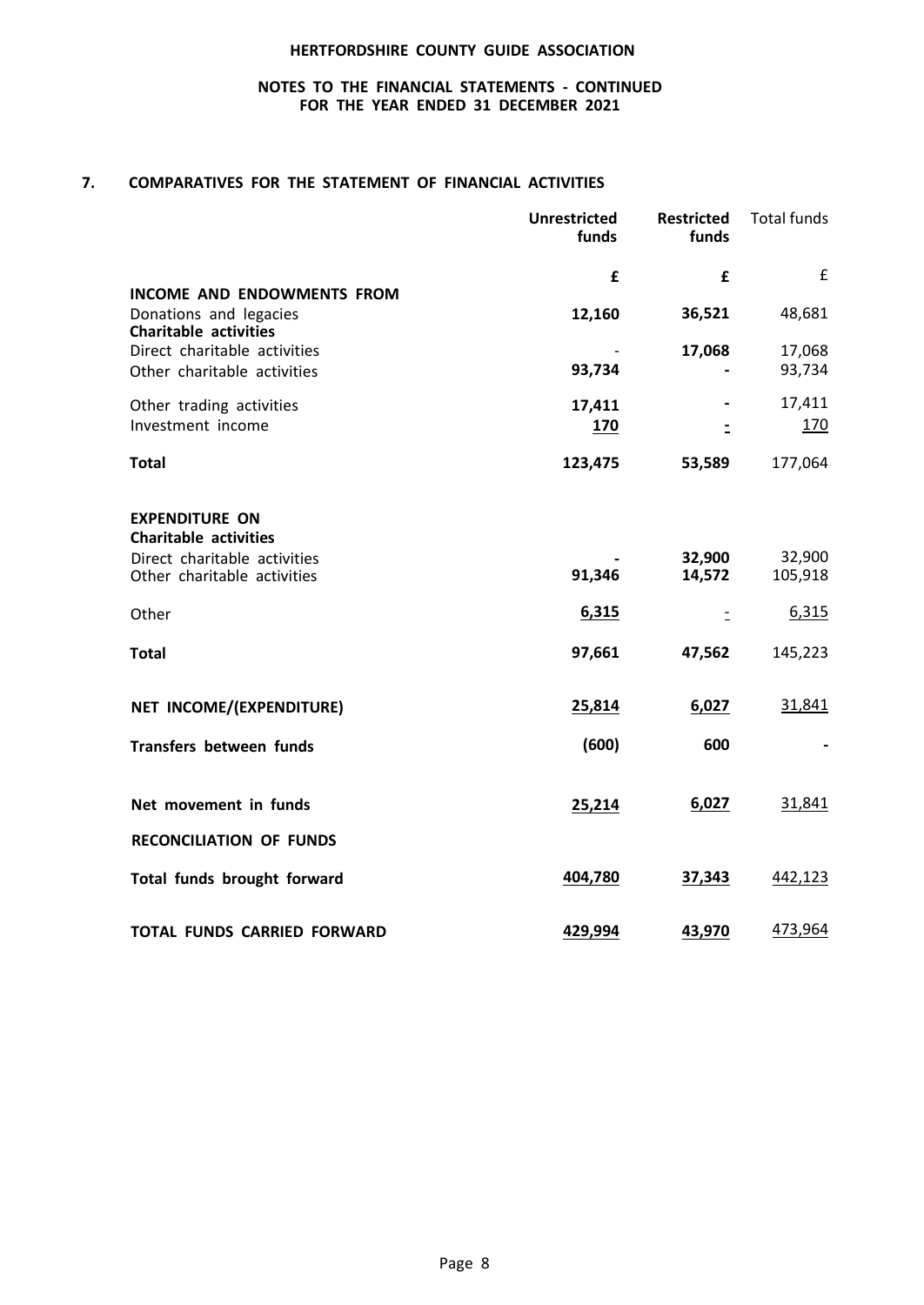### **NOTES TO THE FINANCIAL STATEMENTS - CONTINUED FOR THE YEAR ENDED 31 DECEMBER 2021**

### **7. COMPARATIVES FOR THE STATEMENT OF FINANCIAL ACTIVITIES**

|                                                                                       | <b>Unrestricted</b><br>funds | <b>Restricted</b><br>funds | <b>Total funds</b> |
|---------------------------------------------------------------------------------------|------------------------------|----------------------------|--------------------|
| <b>INCOME AND ENDOWMENTS FROM</b>                                                     | £                            | £                          | £                  |
| Donations and legacies<br><b>Charitable activities</b>                                | 12,160                       | 36,521                     | 48,681             |
| Direct charitable activities<br>Other charitable activities                           | 93,734                       | 17,068                     | 17,068<br>93,734   |
| Other trading activities<br>Investment income                                         | 17,411<br>170                | $\overline{a}$             | 17,411<br>170      |
| <b>Total</b>                                                                          | 123,475                      | 53,589                     | 177,064            |
| <b>EXPENDITURE ON</b><br><b>Charitable activities</b><br>Direct charitable activities |                              | 32,900                     | 32,900             |
| Other charitable activities                                                           | 91,346                       | 14,572                     | 105,918            |
| Other                                                                                 | 6,315                        | Ξ                          | 6,315              |
| <b>Total</b>                                                                          | 97,661                       | 47,562                     | 145,223            |
| NET INCOME/(EXPENDITURE)                                                              | 25,814                       | 6,027                      | 31,841             |
| Transfers between funds                                                               | (600)                        | 600                        |                    |
| Net movement in funds                                                                 | 25,214                       | 6,027                      | 31,841             |
| <b>RECONCILIATION OF FUNDS</b>                                                        |                              |                            |                    |
| Total funds brought forward                                                           | 404,780                      | 37,343                     | 442,123            |
| <b>TOTAL FUNDS CARRIED FORWARD</b>                                                    | 429,994                      | 43,970                     | 473,964            |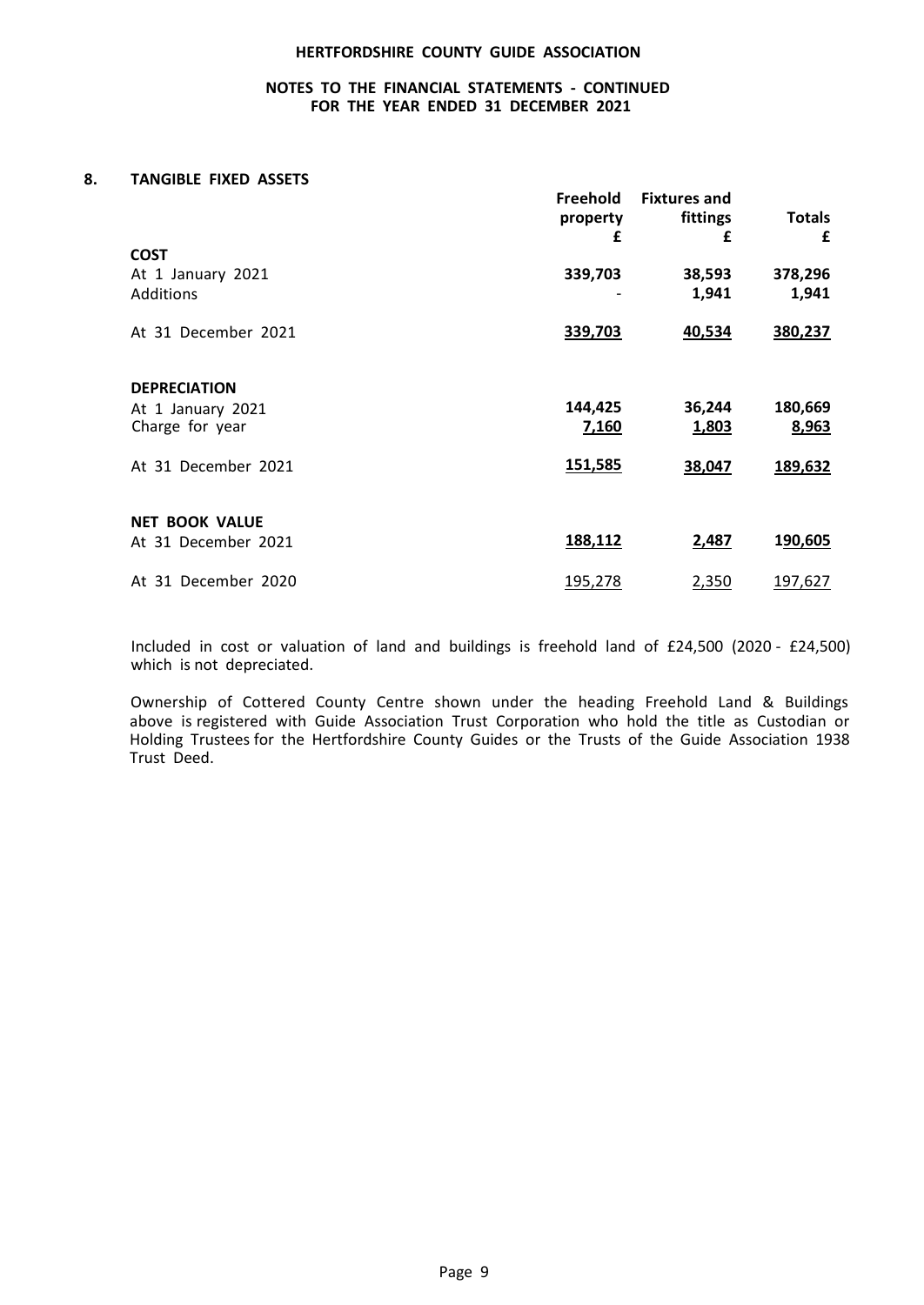### **NOTES TO THE FINANCIAL STATEMENTS - CONTINUED FOR THE YEAR ENDED 31 DECEMBER 2021**

#### **8. TANGIBLE FIXED ASSETS**

|                       | Freehold<br>property<br>£ | <b>Fixtures and</b><br>fittings<br>£ | <b>Totals</b><br>£ |
|-----------------------|---------------------------|--------------------------------------|--------------------|
| <b>COST</b>           |                           |                                      |                    |
| At 1 January 2021     | 339,703                   | 38,593                               | 378,296            |
| Additions             |                           | 1,941                                | 1,941              |
| At 31 December 2021   | 339,703                   | 40,534                               | 380,237            |
| <b>DEPRECIATION</b>   |                           |                                      |                    |
| At 1 January 2021     | 144,425                   | 36,244                               | 180,669            |
| Charge for year       | 7,160                     | 1,803                                | 8,963              |
| At 31 December 2021   | 151,585                   | 38,047                               | 189,632            |
| <b>NET BOOK VALUE</b> |                           |                                      |                    |
| At 31 December 2021   | 188,112                   | 2,487                                | 190,605            |
| At 31 December 2020   | 195,278                   | 2,350                                | 197,627            |

Included in cost or valuation of land and buildings is freehold land of £24,500 (2020 - £24,500) which is not depreciated.

Ownership of Cottered County Centre shown under the heading Freehold Land & Buildings above is registered with Guide Association Trust Corporation who hold the title as Custodian or Holding Trustees for the Hertfordshire County Guides or the Trusts of the Guide Association 1938 Trust Deed.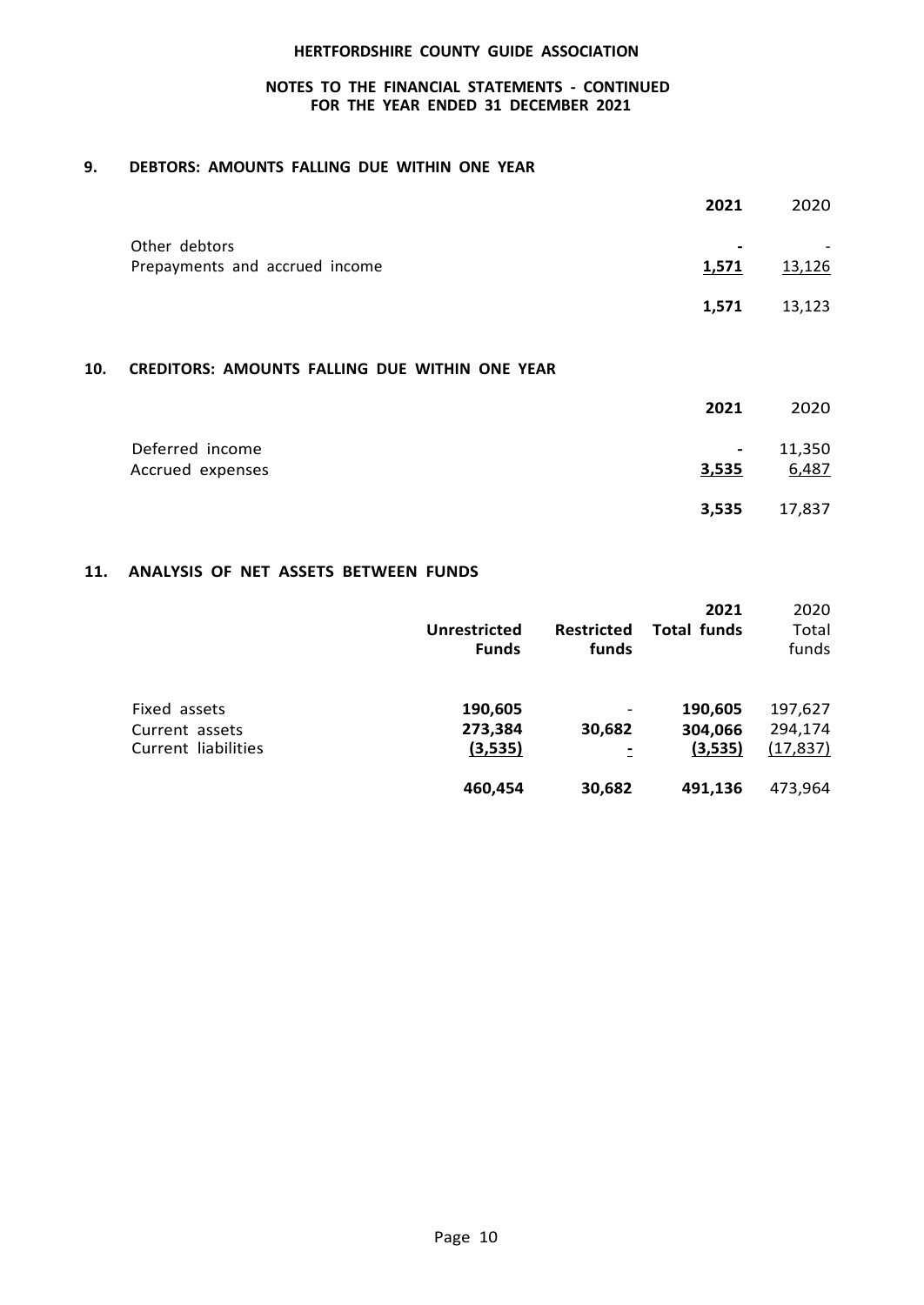### **NOTES TO THE FINANCIAL STATEMENTS - CONTINUED FOR THE YEAR ENDED 31 DECEMBER 2021**

### **9. DEBTORS: AMOUNTS FALLING DUE WITHIN ONE YEAR**

|                                                 | 2021                              | 2020   |
|-------------------------------------------------|-----------------------------------|--------|
| Other debtors<br>Prepayments and accrued income | $\overline{\phantom{0}}$<br>1,571 | 13,126 |
|                                                 | 1,571                             | 13,123 |

## **10. CREDITORS: AMOUNTS FALLING DUE WITHIN ONE YEAR**

|                                     | 2021                    | 2020            |
|-------------------------------------|-------------------------|-----------------|
| Deferred income<br>Accrued expenses | $\blacksquare$<br>3,535 | 11,350<br>6,487 |
|                                     | 3,535                   | 17,837          |

### **11. ANALYSIS OF NET ASSETS BETWEEN FUNDS**

|                                                       | <b>Unrestricted</b><br><b>Funds</b> | <b>Restricted</b><br>funds | 2021<br>Total funds           | 2020<br>Total<br>funds          |
|-------------------------------------------------------|-------------------------------------|----------------------------|-------------------------------|---------------------------------|
| Fixed assets<br>Current assets<br>Current liabilities | 190,605<br>273,384<br>(3,535)       | 30,682                     | 190,605<br>304,066<br>(3,535) | 197,627<br>294,174<br>(17, 837) |
|                                                       | 460,454                             | 30,682                     | 491.136                       | 473.964                         |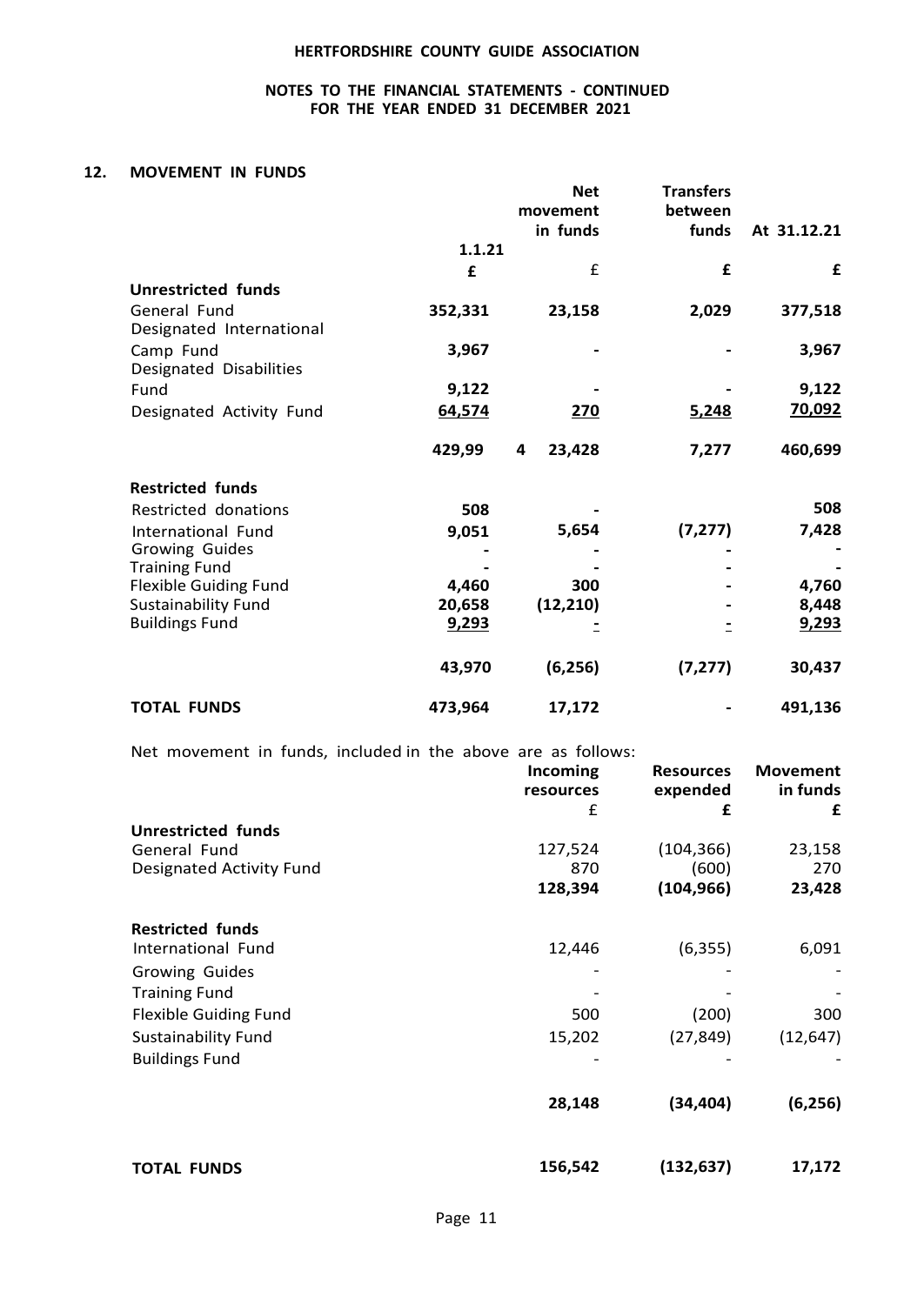### **NOTES TO THE FINANCIAL STATEMENTS - CONTINUED FOR THE YEAR ENDED 31 DECEMBER 2021**

### **12. MOVEMENT IN FUNDS**

|                              |         | <b>Net</b><br>movement<br>in funds | <b>Transfers</b><br>between<br>funds | At 31.12.21 |
|------------------------------|---------|------------------------------------|--------------------------------------|-------------|
|                              | 1.1.21  |                                    |                                      |             |
|                              | £       | £                                  | £                                    | £           |
| <b>Unrestricted funds</b>    |         |                                    |                                      |             |
| General Fund                 | 352,331 | 23,158                             | 2,029                                | 377,518     |
| Designated International     |         |                                    |                                      |             |
| Camp Fund                    | 3,967   |                                    |                                      | 3,967       |
| Designated Disabilities      |         |                                    |                                      |             |
| Fund                         | 9,122   |                                    |                                      | 9,122       |
| Designated Activity Fund     | 64,574  | 270                                | 5,248                                | 70,092      |
|                              | 429,99  | 4<br>23,428                        | 7,277                                | 460,699     |
| <b>Restricted funds</b>      |         |                                    |                                      |             |
| Restricted donations         | 508     |                                    |                                      | 508         |
| International Fund           | 9,051   | 5,654                              | (7, 277)                             | 7,428       |
| Growing Guides               |         |                                    |                                      |             |
| <b>Training Fund</b>         |         |                                    |                                      |             |
| <b>Flexible Guiding Fund</b> | 4,460   | 300                                |                                      | 4,760       |
| <b>Sustainability Fund</b>   | 20,658  | (12, 210)                          |                                      | 8,448       |
| <b>Buildings Fund</b>        | 9,293   |                                    |                                      | 9,293       |
|                              | 43,970  | (6, 256)                           | (7, 277)                             | 30,437      |
| <b>TOTAL FUNDS</b>           | 473,964 | 17,172                             |                                      | 491,136     |

Net movement in funds, included in the above are as follows:

|                              | Incoming<br>resources | <b>Resources</b><br>expended | <b>Movement</b><br>in funds |
|------------------------------|-----------------------|------------------------------|-----------------------------|
|                              | £                     | £                            | £                           |
| <b>Unrestricted funds</b>    |                       |                              |                             |
| General Fund                 | 127,524               | (104, 366)                   | 23,158                      |
| Designated Activity Fund     | 870                   | (600)                        | 270                         |
|                              | 128,394               | (104, 966)                   | 23,428                      |
| <b>Restricted funds</b>      |                       |                              |                             |
| International Fund           | 12,446                | (6, 355)                     | 6,091                       |
| Growing Guides               |                       |                              |                             |
| <b>Training Fund</b>         |                       |                              |                             |
| <b>Flexible Guiding Fund</b> | 500                   | (200)                        | 300                         |
| <b>Sustainability Fund</b>   | 15,202                | (27, 849)                    | (12, 647)                   |
| <b>Buildings Fund</b>        |                       |                              |                             |
|                              | 28,148                | (34, 404)                    | (6, 256)                    |
| <b>TOTAL FUNDS</b>           | 156,542               | (132, 637)                   | 17,172                      |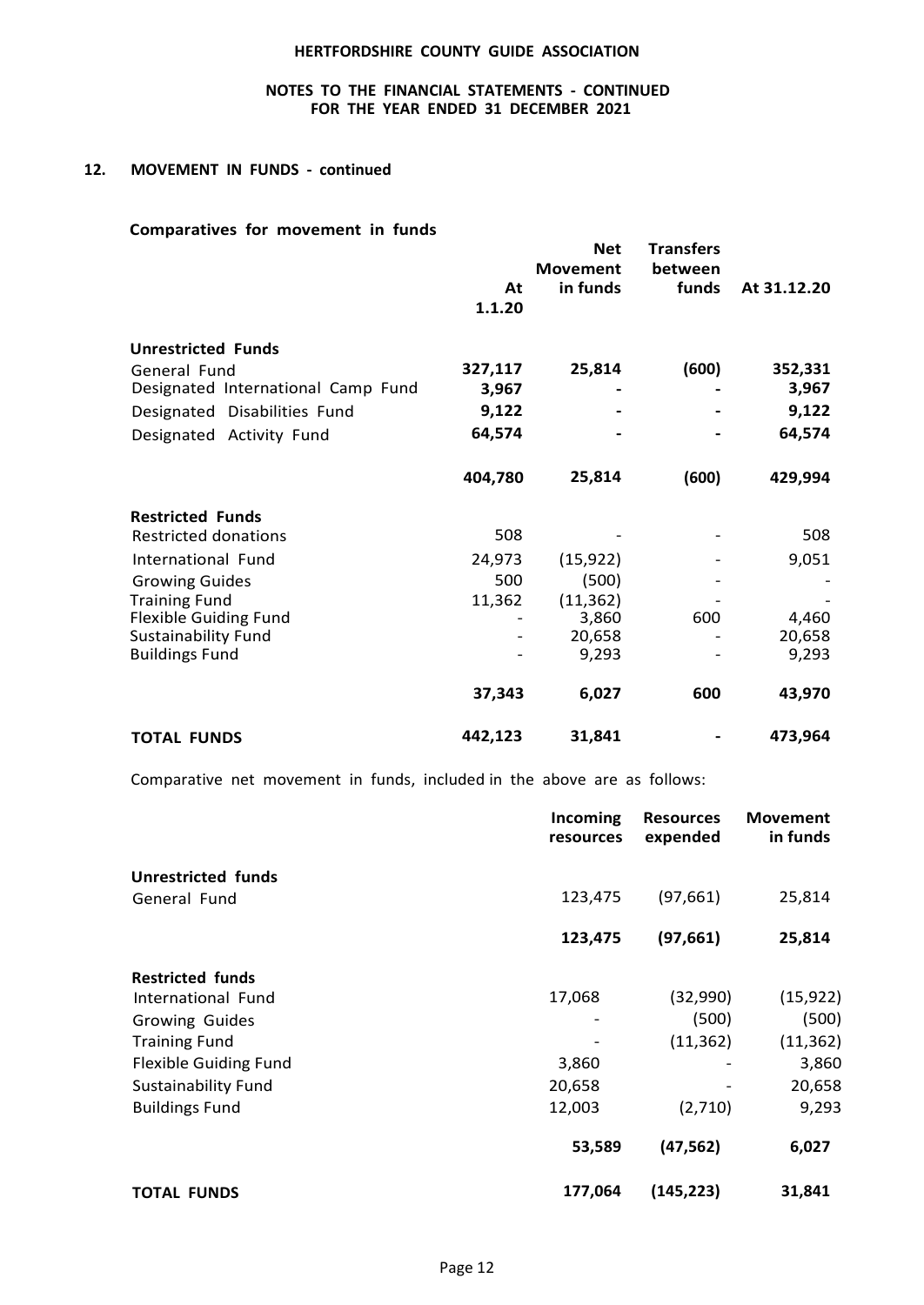### **NOTES TO THE FINANCIAL STATEMENTS - CONTINUED FOR THE YEAR ENDED 31 DECEMBER 2021**

#### **12. MOVEMENT IN FUNDS - continued**

# **Comparatives for movement in funds**

|                                    | At<br>1.1.20 | <b>Net</b><br><b>Movement</b><br>in funds | <b>Transfers</b><br>between<br>funds | At 31.12.20 |
|------------------------------------|--------------|-------------------------------------------|--------------------------------------|-------------|
| <b>Unrestricted Funds</b>          |              |                                           |                                      |             |
| General Fund                       | 327,117      | 25,814                                    | (600)                                | 352,331     |
| Designated International Camp Fund | 3,967        |                                           |                                      | 3,967       |
| Designated Disabilities Fund       | 9,122        |                                           |                                      | 9,122       |
| Designated Activity Fund           | 64,574       |                                           |                                      | 64,574      |
|                                    | 404,780      | 25,814                                    | (600)                                | 429,994     |
| <b>Restricted Funds</b>            |              |                                           |                                      |             |
| <b>Restricted donations</b>        | 508          |                                           |                                      | 508         |
| International Fund                 | 24,973       | (15, 922)                                 |                                      | 9,051       |
| <b>Growing Guides</b>              | 500          | (500)                                     |                                      |             |
| <b>Training Fund</b>               | 11,362       | (11, 362)                                 |                                      |             |
| <b>Flexible Guiding Fund</b>       |              | 3,860                                     | 600                                  | 4,460       |
| <b>Sustainability Fund</b>         |              | 20,658                                    |                                      | 20,658      |
| <b>Buildings Fund</b>              |              | 9,293                                     |                                      | 9,293       |
|                                    | 37,343       | 6,027                                     | 600                                  | 43,970      |
| <b>TOTAL FUNDS</b>                 | 442,123      | 31,841                                    |                                      | 473,964     |

Comparative net movement in funds, included in the above are as follows:

|                              | Incoming<br>resources | <b>Resources</b><br>expended | <b>Movement</b><br>in funds |
|------------------------------|-----------------------|------------------------------|-----------------------------|
| <b>Unrestricted funds</b>    |                       |                              |                             |
| General Fund                 | 123,475               | (97, 661)                    | 25,814                      |
|                              | 123,475               | (97, 661)                    | 25,814                      |
| <b>Restricted funds</b>      |                       |                              |                             |
| International Fund           | 17,068                | (32,990)                     | (15, 922)                   |
| <b>Growing Guides</b>        |                       | (500)                        | (500)                       |
| <b>Training Fund</b>         |                       | (11, 362)                    | (11, 362)                   |
| <b>Flexible Guiding Fund</b> | 3,860                 |                              | 3,860                       |
| <b>Sustainability Fund</b>   | 20,658                |                              | 20,658                      |
| <b>Buildings Fund</b>        | 12,003                | (2,710)                      | 9,293                       |
|                              | 53,589                | (47, 562)                    | 6,027                       |
| <b>TOTAL FUNDS</b>           | 177,064               | (145, 223)                   | 31,841                      |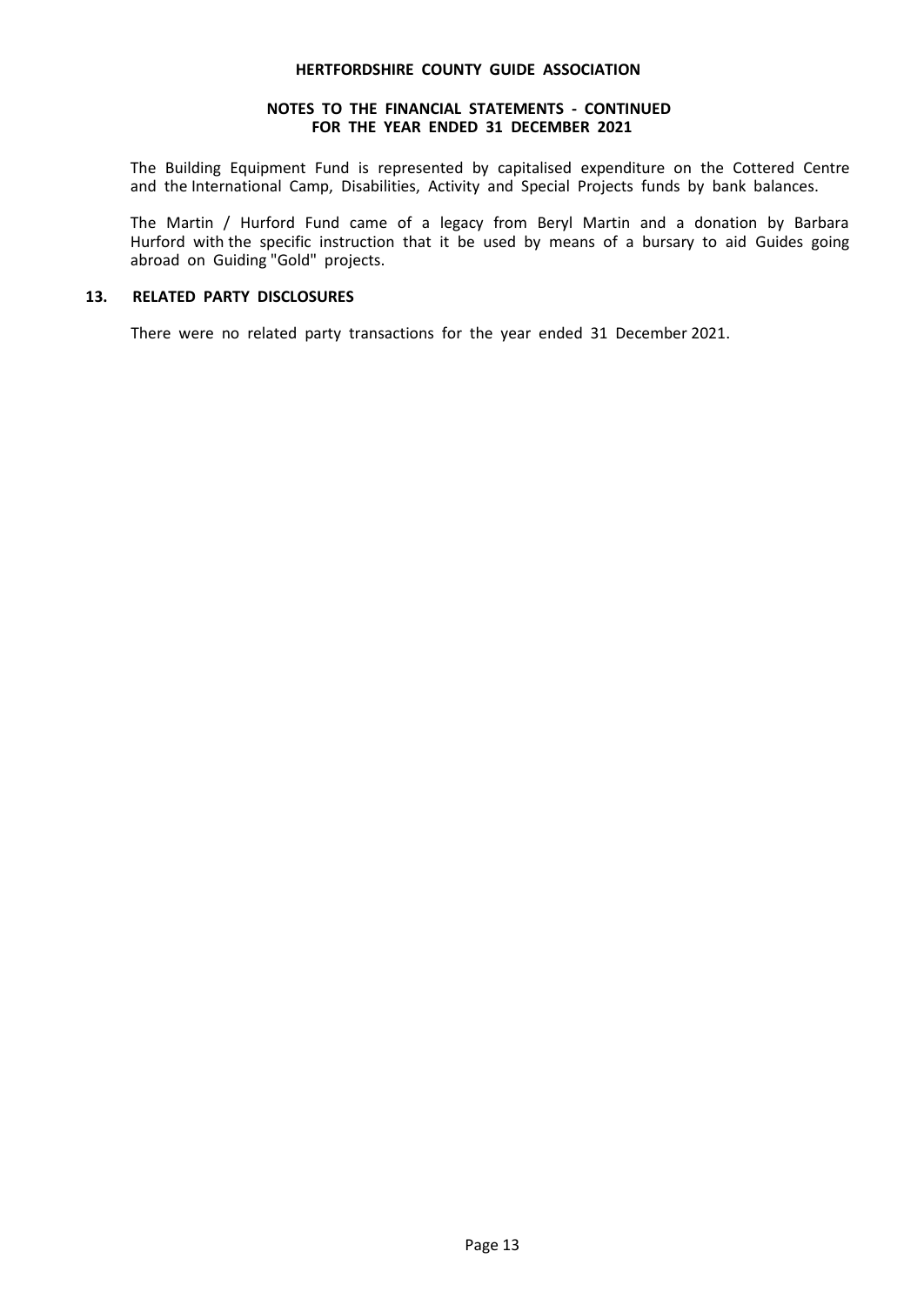#### **NOTES TO THE FINANCIAL STATEMENTS - CONTINUED FOR THE YEAR ENDED 31 DECEMBER 2021**

The Building Equipment Fund is represented by capitalised expenditure on the Cottered Centre and the International Camp, Disabilities, Activity and Special Projects funds by bank balances.

The Martin / Hurford Fund came of a legacy from Beryl Martin and a donation by Barbara Hurford with the specific instruction that it be used by means of a bursary to aid Guides going abroad on Guiding "Gold" projects.

### **13. RELATED PARTY DISCLOSURES**

There were no related party transactions for the year ended 31 December 2021.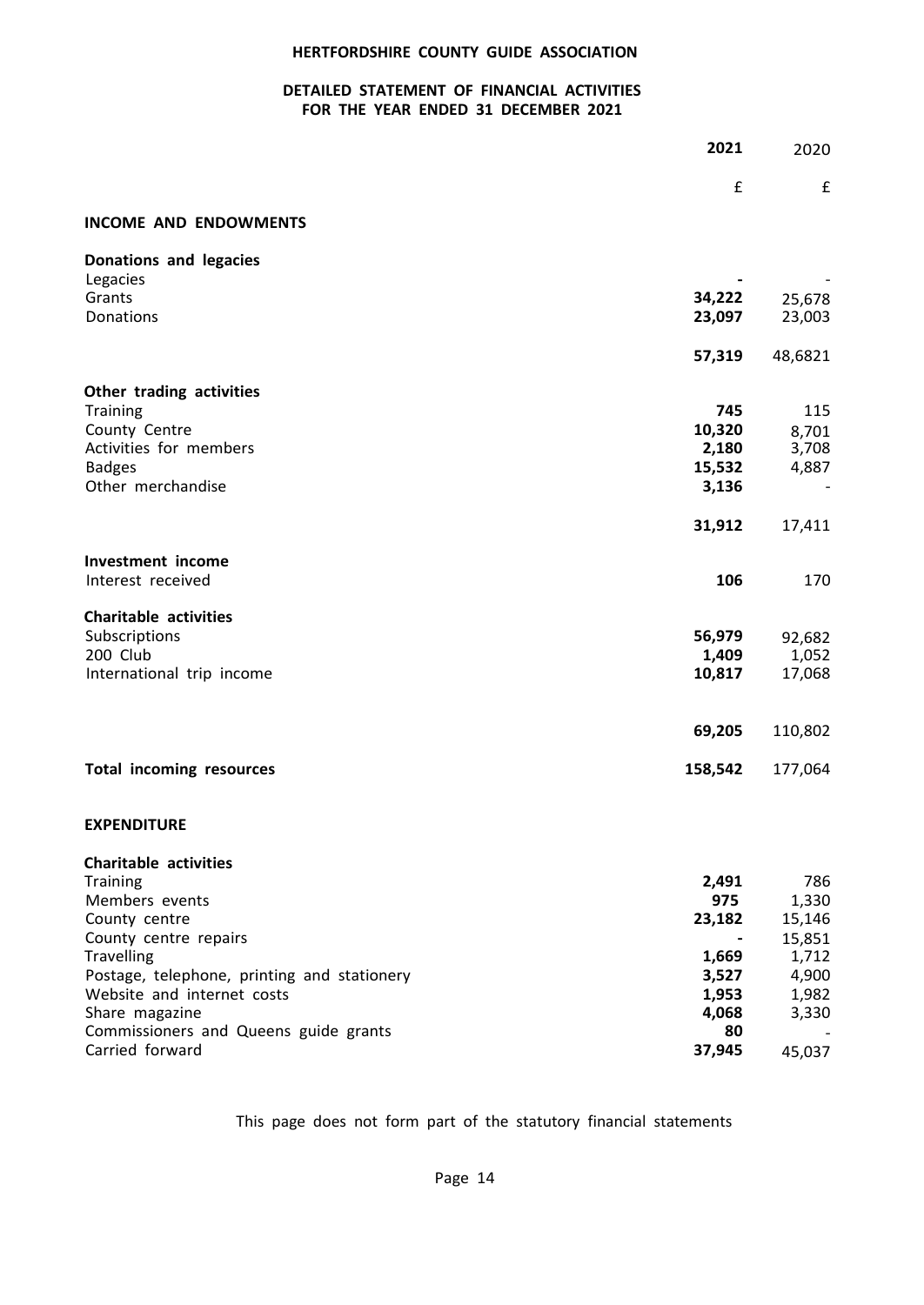### **DETAILED STATEMENT OF FINANCIAL ACTIVITIES FOR THE YEAR ENDED 31 DECEMBER 2021**

|                                                                           | 2021           | 2020             |
|---------------------------------------------------------------------------|----------------|------------------|
|                                                                           | £              | £                |
| <b>INCOME AND ENDOWMENTS</b>                                              |                |                  |
| Donations and legacies                                                    |                |                  |
| Legacies<br>Grants                                                        | 34,222         |                  |
| Donations                                                                 | 23,097         | 25,678<br>23,003 |
|                                                                           |                |                  |
|                                                                           | 57,319         | 48,6821          |
| Other trading activities                                                  |                |                  |
| <b>Training</b>                                                           | 745            | 115              |
| County Centre                                                             | 10,320         | 8,701            |
| Activities for members                                                    | 2,180          | 3,708            |
| <b>Badges</b>                                                             | 15,532         | 4,887            |
| Other merchandise                                                         | 3,136          |                  |
|                                                                           | 31,912         | 17,411           |
| <b>Investment income</b>                                                  |                |                  |
| Interest received                                                         | 106            | 170              |
| <b>Charitable activities</b>                                              |                |                  |
| Subscriptions                                                             | 56,979         | 92,682           |
| 200 Club                                                                  | 1,409          | 1,052            |
| International trip income                                                 | 10,817         | 17,068           |
|                                                                           |                |                  |
|                                                                           | 69,205         | 110,802          |
| <b>Total incoming resources</b>                                           | 158,542        | 177,064          |
|                                                                           |                |                  |
| <b>EXPENDITURE</b>                                                        |                |                  |
| <b>Charitable activities</b>                                              |                |                  |
| <b>Training</b>                                                           | 2,491          | 786              |
| Members events                                                            | 975            | 1,330            |
| County centre                                                             | 23,182         | 15,146           |
| County centre repairs                                                     |                | 15,851           |
| <b>Travelling</b>                                                         | 1,669          | 1,712            |
| Postage, telephone, printing and stationery<br>Website and internet costs | 3,527<br>1,953 | 4,900<br>1,982   |
| Share magazine                                                            | 4,068          | 3,330            |
| Commissioners and Queens guide grants                                     | 80             |                  |
| Carried forward                                                           | 37,945         | 45,037           |
|                                                                           |                |                  |

This page does not form part of the statutory financial statements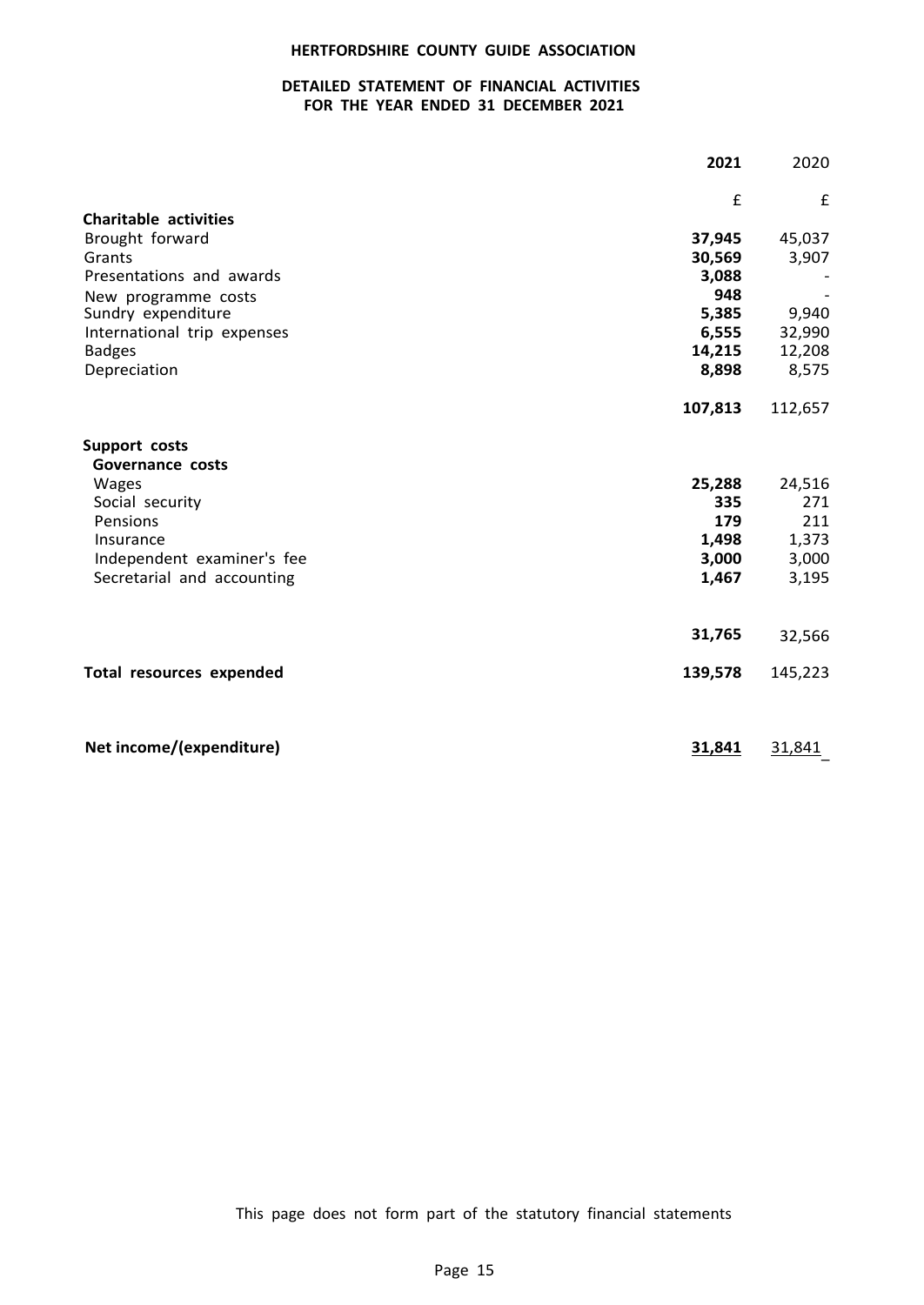### **DETAILED STATEMENT OF FINANCIAL ACTIVITIES FOR THE YEAR ENDED 31 DECEMBER 2021**

|                                 | 2021    | 2020    |
|---------------------------------|---------|---------|
|                                 | £       | £       |
| <b>Charitable activities</b>    |         |         |
| Brought forward                 | 37,945  | 45,037  |
| Grants                          | 30,569  | 3,907   |
| Presentations and awards        | 3,088   |         |
| New programme costs             | 948     |         |
| Sundry expenditure              | 5,385   | 9,940   |
| International trip expenses     | 6,555   | 32,990  |
| <b>Badges</b>                   | 14,215  | 12,208  |
| Depreciation                    | 8,898   | 8,575   |
|                                 | 107,813 | 112,657 |
| Support costs                   |         |         |
| Governance costs                |         |         |
| Wages                           | 25,288  | 24,516  |
| Social security                 | 335     | 271     |
| Pensions                        | 179     | 211     |
| Insurance                       | 1,498   | 1,373   |
| Independent examiner's fee      | 3,000   | 3,000   |
| Secretarial and accounting      | 1,467   | 3,195   |
|                                 |         |         |
|                                 | 31,765  | 32,566  |
| <b>Total resources expended</b> | 139,578 | 145,223 |
|                                 |         |         |
| Net income/(expenditure)        | 31,841  | 31,841  |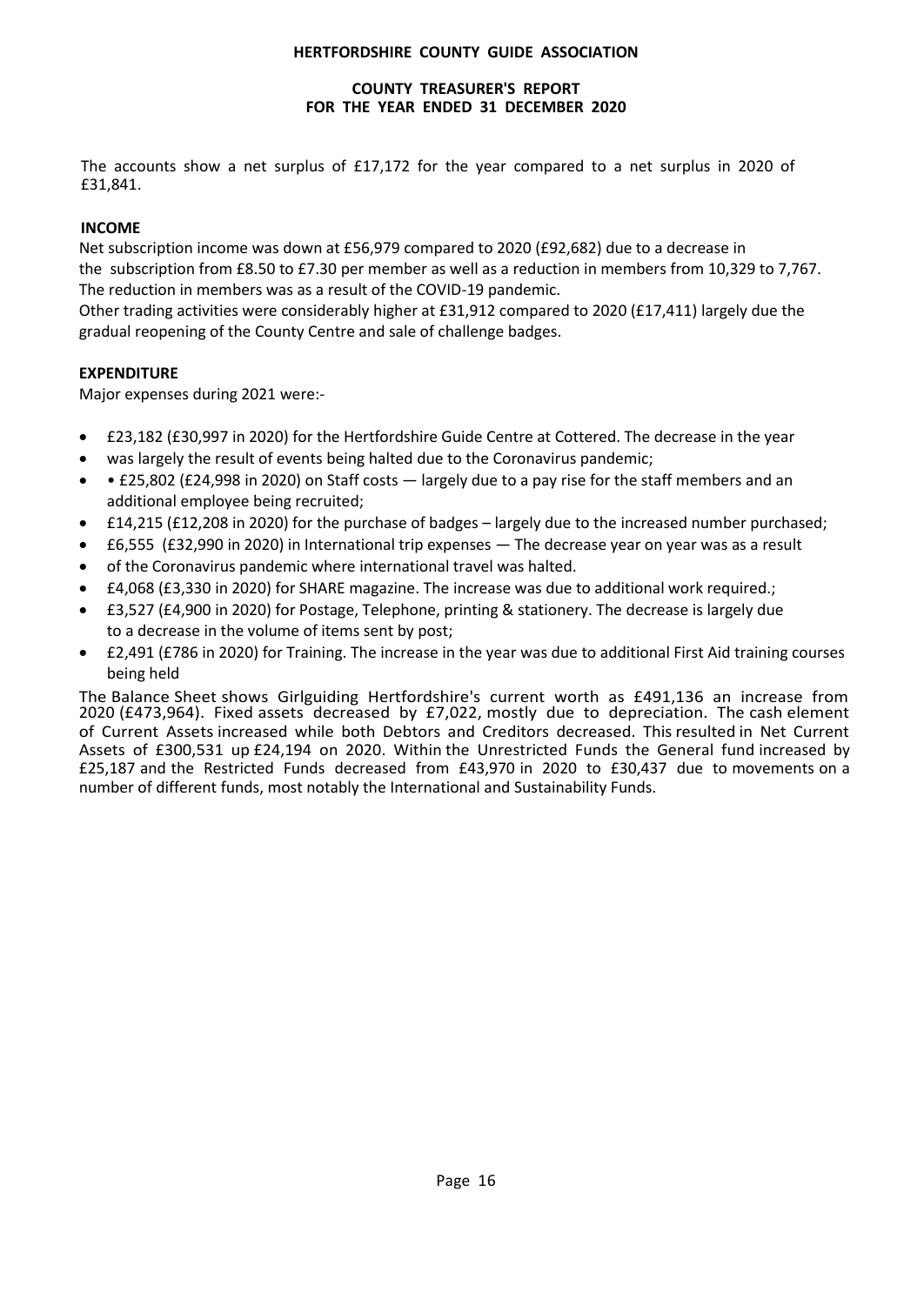# **COUNTY TREASURER'S REPORT FOR THE YEAR ENDED 31 DECEMBER 2020**

The accounts show a net surplus of £17,172 for the year compared to a net surplus in 2020 of £31,841.

# **INCOME**

Net subscription income was down at £56,979 compared to 2020 (£92,682) due to a decrease in the subscription from £8.50 to £7.30 per member as well as a reduction in members from 10,329 to 7,767. The reduction in members was as a result of the COVID-19 pandemic.

Other trading activities were considerably higher at £31,912 compared to 2020 (£17,411) largely due the gradual reopening of the County Centre and sale of challenge badges.

# **EXPENDITURE**

Major expenses during 2021 were:-

- £23,182 (£30,997 in 2020) for the Hertfordshire Guide Centre at Cottered. The decrease in the year
- was largely the result of events being halted due to the Coronavirus pandemic;
- **£25,802 (£24,998 in 2020) on Staff costs** largely due to a pay rise for the staff members and an additional employee being recruited;
- £14,215 (£12,208 in 2020) for the purchase of badges largely due to the increased number purchased;
- £6,555 (£32,990 in 2020) in International trip expenses The decrease year on year was as a result
- of the Coronavirus pandemic where international travel was halted.
- £4,068 (£3,330 in 2020) for SHARE magazine. The increase was due to additional work required.;
- £3,527 (£4,900 in 2020) for Postage, Telephone, printing & stationery. The decrease is largely due to a decrease in the volume of items sent by post;
- £2,491 (£786 in 2020) for Training. The increase in the year was due to additional First Aid training courses being held

The Balance Sheet shows Girlguiding Hertfordshire's current worth as £491,136 an increase from 2020 (£473,964). Fixed assets decreased by £7,022, mostly due to depreciation. The cash element of Current Assets increased while both Debtors and Creditors decreased. This resulted in Net Current Assets of £300,531 up £24,194 on 2020. Within the Unrestricted Funds the General fund increased by £25,187 and the Restricted Funds decreased from £43,970 in 2020 to £30,437 due to movements on a number of different funds, most notably the International and Sustainability Funds.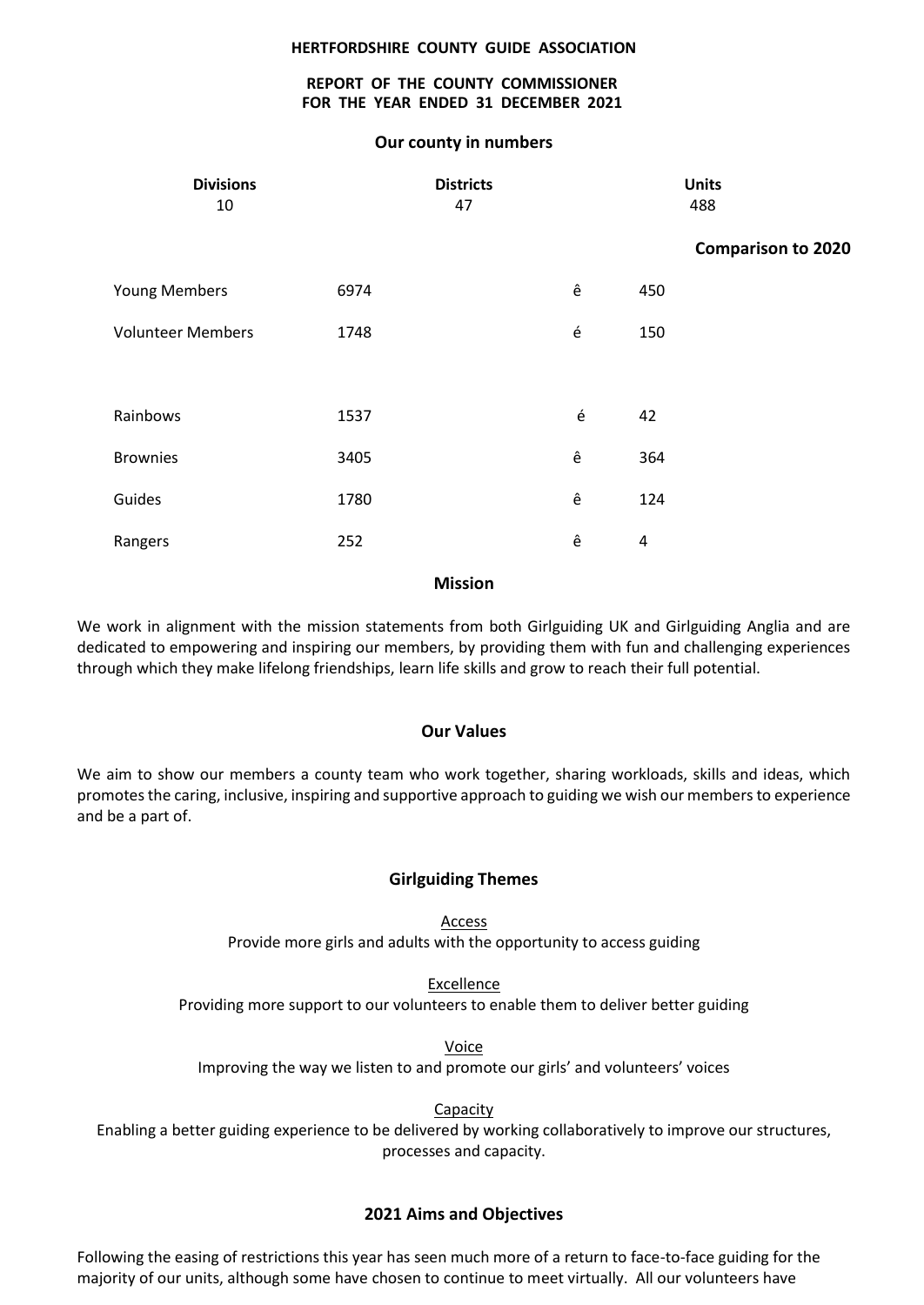### **REPORT OF THE COUNTY COMMISSIONER FOR THE YEAR ENDED 31 DECEMBER 2021**

### **Our county in numbers**

|      |                        | <b>Units</b><br>488                 |
|------|------------------------|-------------------------------------|
|      |                        | <b>Comparison to 2020</b>           |
| 6974 | ê                      |                                     |
| 1748 | é                      |                                     |
|      |                        |                                     |
| 1537 | é                      |                                     |
| 3405 | ê                      |                                     |
| 1780 | ê                      |                                     |
| 252  | ê                      |                                     |
|      | <b>Districts</b><br>47 | 450<br>150<br>42<br>364<br>124<br>4 |

### **Mission**

We work in alignment with the mission statements from both Girlguiding UK and Girlguiding Anglia and are dedicated to empowering and inspiring our members, by providing them with fun and challenging experiences through which they make lifelong friendships, learn life skills and grow to reach their full potential.

### **Our Values**

We aim to show our members a county team who work together, sharing workloads, skills and ideas, which promotes the caring, inclusive, inspiring and supportive approach to guiding we wish our members to experience and be a part of.

### **Girlguiding Themes**

Access Provide more girls and adults with the opportunity to access guiding

Excellence Providing more support to our volunteers to enable them to deliver better guiding

Voice

Improving the way we listen to and promote our girls' and volunteers' voices

**Capacity** 

Enabling a better guiding experience to be delivered by working collaboratively to improve our structures, processes and capacity.

### **2021 Aims and Objectives**

Following the easing of restrictions this year has seen much more of a return to face-to-face guiding for the majority of our units, although some have chosen to continue to meet virtually. All our volunteers have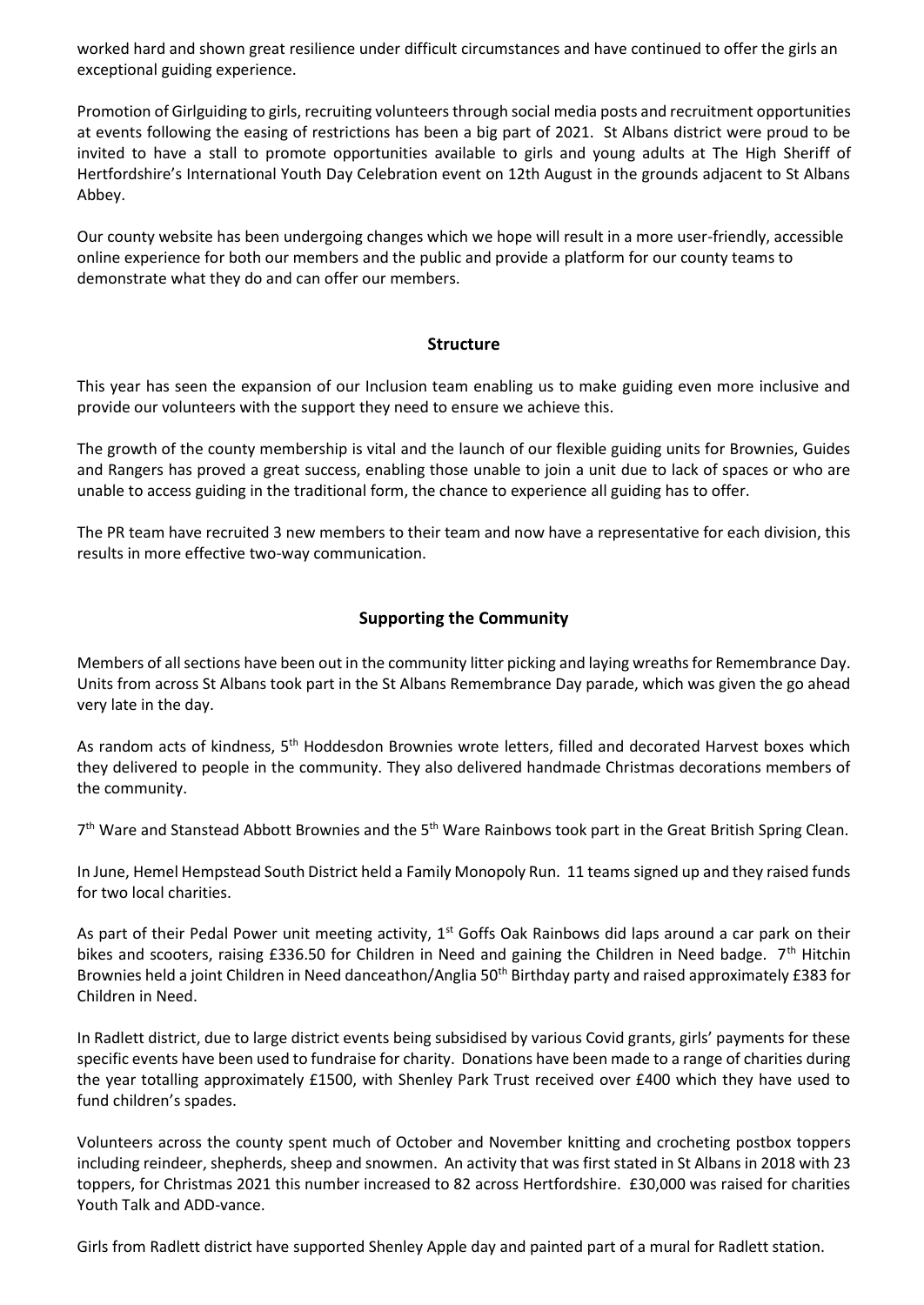worked hard and shown great resilience under difficult circumstances and have continued to offer the girls an exceptional guiding experience.

Promotion of Girlguiding to girls, recruiting volunteers through social media posts and recruitment opportunities at events following the easing of restrictions has been a big part of 2021. St Albans district were proud to be invited to have a stall to promote opportunities available to girls and young adults at The High Sheriff of Hertfordshire's International Youth Day Celebration event on 12th August in the grounds adjacent to St Albans Abbey.

Our county website has been undergoing changes which we hope will result in a more user-friendly, accessible online experience for both our members and the public and provide a platform for our county teams to demonstrate what they do and can offer our members.

### **Structure**

This year has seen the expansion of our Inclusion team enabling us to make guiding even more inclusive and provide our volunteers with the support they need to ensure we achieve this.

The growth of the county membership is vital and the launch of our flexible guiding units for Brownies, Guides and Rangers has proved a great success, enabling those unable to join a unit due to lack of spaces or who are unable to access guiding in the traditional form, the chance to experience all guiding has to offer.

The PR team have recruited 3 new members to their team and now have a representative for each division, this results in more effective two-way communication.

# **Supporting the Community**

Members of all sections have been out in the community litter picking and laying wreaths for Remembrance Day. Units from across St Albans took part in the St Albans Remembrance Day parade, which was given the go ahead very late in the day.

As random acts of kindness, 5<sup>th</sup> Hoddesdon Brownies wrote letters, filled and decorated Harvest boxes which they delivered to people in the community. They also delivered handmade Christmas decorations members of the community.

7<sup>th</sup> Ware and Stanstead Abbott Brownies and the 5<sup>th</sup> Ware Rainbows took part in the Great British Spring Clean.

In June, Hemel Hempstead South District held a Family Monopoly Run. 11 teams signed up and they raised funds for two local charities.

As part of their Pedal Power unit meeting activity, 1<sup>st</sup> Goffs Oak Rainbows did laps around a car park on their bikes and scooters, raising £336.50 for Children in Need and gaining the Children in Need badge. 7<sup>th</sup> Hitchin Brownies held a joint Children in Need danceathon/Anglia 50<sup>th</sup> Birthday party and raised approximately £383 for Children in Need.

In Radlett district, due to large district events being subsidised by various Covid grants, girls' payments for these specific events have been used to fundraise for charity. Donations have been made to a range of charities during the year totalling approximately £1500, with Shenley Park Trust received over £400 which they have used to fund children's spades.

Volunteers across the county spent much of October and November knitting and crocheting postbox toppers including reindeer, shepherds, sheep and snowmen. An activity that was first stated in St Albans in 2018 with 23 toppers, for Christmas 2021 this number increased to 82 across Hertfordshire. £30,000 was raised for charities Youth Talk and ADD-vance.

Girls from Radlett district have supported Shenley Apple day and painted part of a mural for Radlett station.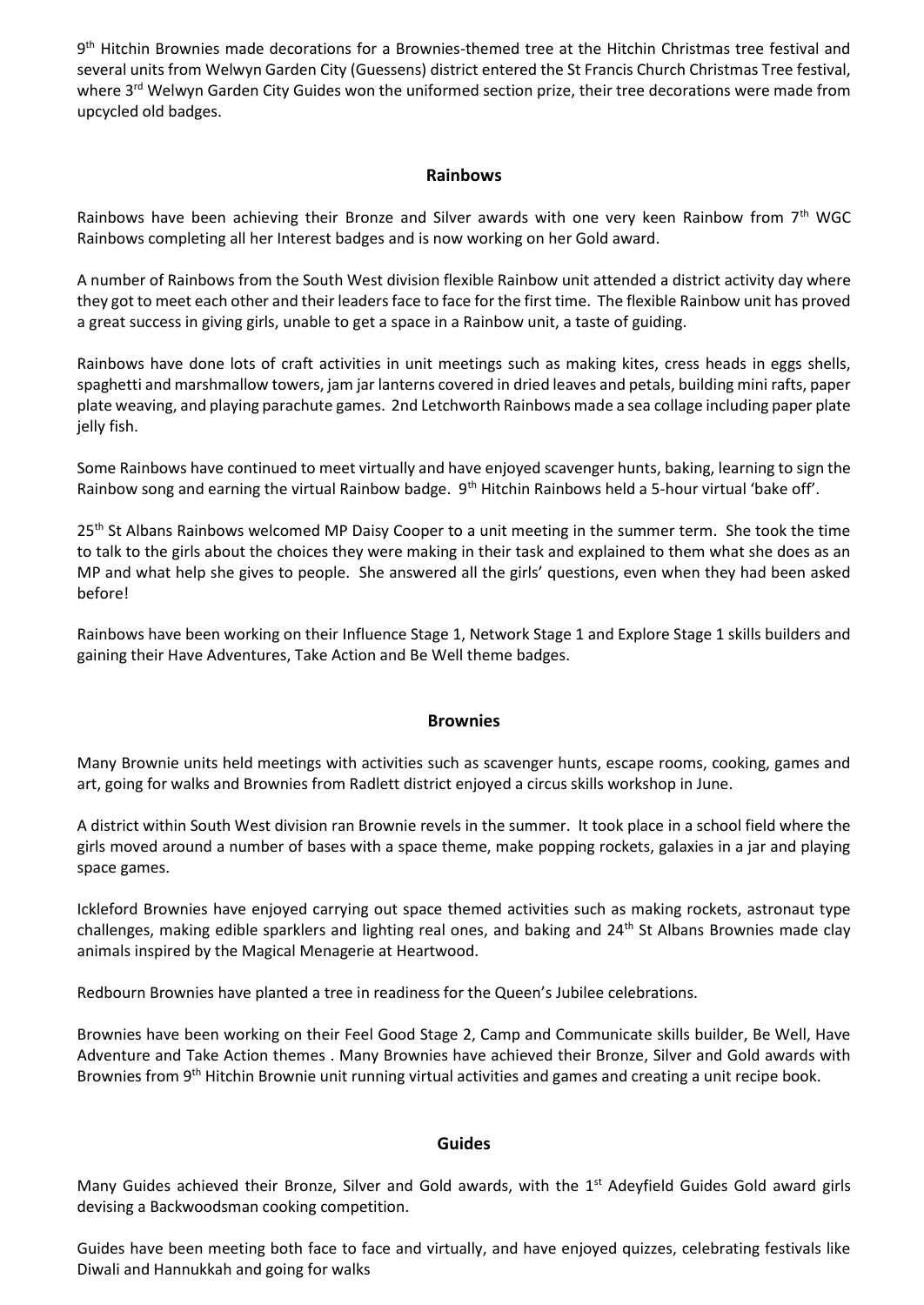9<sup>th</sup> Hitchin Brownies made decorations for a Brownies-themed tree at the Hitchin Christmas tree festival and several units from Welwyn Garden City (Guessens) district entered the St Francis Church Christmas Tree festival, where 3<sup>rd</sup> Welwyn Garden City Guides won the uniformed section prize, their tree decorations were made from upcycled old badges.

### **Rainbows**

Rainbows have been achieving their Bronze and Silver awards with one very keen Rainbow from  $7<sup>th</sup>$  WGC Rainbows completing all her Interest badges and is now working on her Gold award.

A number of Rainbows from the South West division flexible Rainbow unit attended a district activity day where they got to meet each other and their leaders face to face for the first time. The flexible Rainbow unit has proved a great success in giving girls, unable to get a space in a Rainbow unit, a taste of guiding.

Rainbows have done lots of craft activities in unit meetings such as making kites, cress heads in eggs shells, spaghetti and marshmallow towers, jam jar lanterns covered in dried leaves and petals, building mini rafts, paper plate weaving, and playing parachute games. 2nd Letchworth Rainbows made a sea collage including paper plate jelly fish.

Some Rainbows have continued to meet virtually and have enjoyed scavenger hunts, baking, learning to sign the Rainbow song and earning the virtual Rainbow badge. 9<sup>th</sup> Hitchin Rainbows held a 5-hour virtual 'bake off'.

25<sup>th</sup> St Albans Rainbows welcomed MP Daisy Cooper to a unit meeting in the summer term. She took the time to talk to the girls about the choices they were making in their task and explained to them what she does as an MP and what help she gives to people. She answered all the girls' questions, even when they had been asked before!

Rainbows have been working on their Influence Stage 1, Network Stage 1 and Explore Stage 1 skills builders and gaining their Have Adventures, Take Action and Be Well theme badges.

### **Brownies**

Many Brownie units held meetings with activities such as scavenger hunts, escape rooms, cooking, games and art, going for walks and Brownies from Radlett district enjoyed a circus skills workshop in June.

A district within South West division ran Brownie revels in the summer. It took place in a school field where the girls moved around a number of bases with a space theme, make popping rockets, galaxies in a jar and playing space games.

Ickleford Brownies have enjoyed carrying out space themed activities such as making rockets, astronaut type challenges, making edible sparklers and lighting real ones, and baking and  $24<sup>th</sup>$  St Albans Brownies made clay animals inspired by the Magical Menagerie at Heartwood.

Redbourn Brownies have planted a tree in readiness for the Queen's Jubilee celebrations.

Brownies have been working on their Feel Good Stage 2, Camp and Communicate skills builder, Be Well, Have Adventure and Take Action themes . Many Brownies have achieved their Bronze, Silver and Gold awards with Brownies from 9<sup>th</sup> Hitchin Brownie unit running virtual activities and games and creating a unit recipe book.

### **Guides**

Many Guides achieved their Bronze, Silver and Gold awards, with the 1<sup>st</sup> Adeyfield Guides Gold award girls devising a Backwoodsman cooking competition.

Guides have been meeting both face to face and virtually, and have enjoyed quizzes, celebrating festivals like Diwali and Hannukkah and going for walks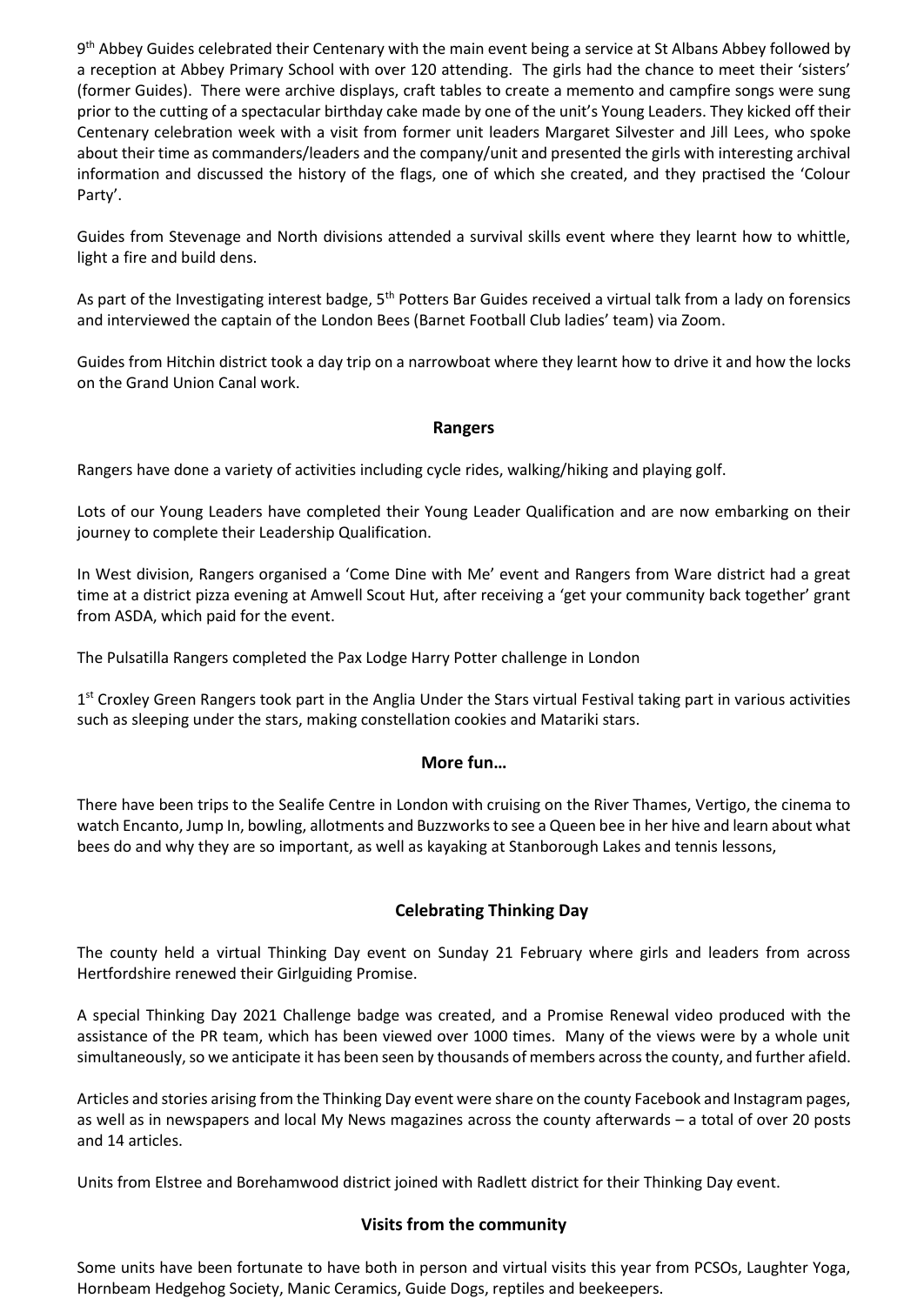9<sup>th</sup> Abbey Guides celebrated their Centenary with the main event being a service at St Albans Abbey followed by a reception at Abbey Primary School with over 120 attending. The girls had the chance to meet their 'sisters' (former Guides). There were archive displays, craft tables to create a memento and campfire songs were sung prior to the cutting of a spectacular birthday cake made by one of the unit's Young Leaders. They kicked off their Centenary celebration week with a visit from former unit leaders Margaret Silvester and Jill Lees, who spoke about their time as commanders/leaders and the company/unit and presented the girls with interesting archival information and discussed the history of the flags, one of which she created, and they practised the 'Colour Party'.

Guides from Stevenage and North divisions attended a survival skills event where they learnt how to whittle, light a fire and build dens.

As part of the Investigating interest badge, 5<sup>th</sup> Potters Bar Guides received a virtual talk from a lady on forensics and interviewed the captain of the London Bees (Barnet Football Club ladies' team) via Zoom.

Guides from Hitchin district took a day trip on a narrowboat where they learnt how to drive it and how the locks on the Grand Union Canal work.

# **Rangers**

Rangers have done a variety of activities including cycle rides, walking/hiking and playing golf.

Lots of our Young Leaders have completed their Young Leader Qualification and are now embarking on their journey to complete their Leadership Qualification.

In West division, Rangers organised a 'Come Dine with Me' event and Rangers from Ware district had a great time at a district pizza evening at Amwell Scout Hut, after receiving a 'get your community back together' grant from ASDA, which paid for the event.

The Pulsatilla Rangers completed the Pax Lodge Harry Potter challenge in London

1<sup>st</sup> Croxley Green Rangers took part in the Anglia Under the Stars virtual Festival taking part in various activities such as sleeping under the stars, making constellation cookies and Matariki stars.

# **More fun…**

There have been trips to the Sealife Centre in London with cruising on the River Thames, Vertigo, the cinema to watch Encanto, Jump In, bowling, allotments and Buzzworks to see a Queen bee in her hive and learn about what bees do and why they are so important, as well as kayaking at Stanborough Lakes and tennis lessons,

# **Celebrating Thinking Day**

The county held a virtual Thinking Day event on Sunday 21 February where girls and leaders from across Hertfordshire renewed their Girlguiding Promise.

A special Thinking Day 2021 Challenge badge was created, and a Promise Renewal video produced with the assistance of the PR team, which has been viewed over 1000 times. Many of the views were by a whole unit simultaneously, so we anticipate it has been seen by thousands of members across the county, and further afield.

Articles and stories arising from the Thinking Day event were share on the county Facebook and Instagram pages, as well as in newspapers and local My News magazines across the county afterwards – a total of over 20 posts and 14 articles.

Units from Elstree and Borehamwood district joined with Radlett district for their Thinking Day event.

### **Visits from the community**

Some units have been fortunate to have both in person and virtual visits this year from PCSOs, Laughter Yoga, Hornbeam Hedgehog Society, Manic Ceramics, Guide Dogs, reptiles and beekeepers.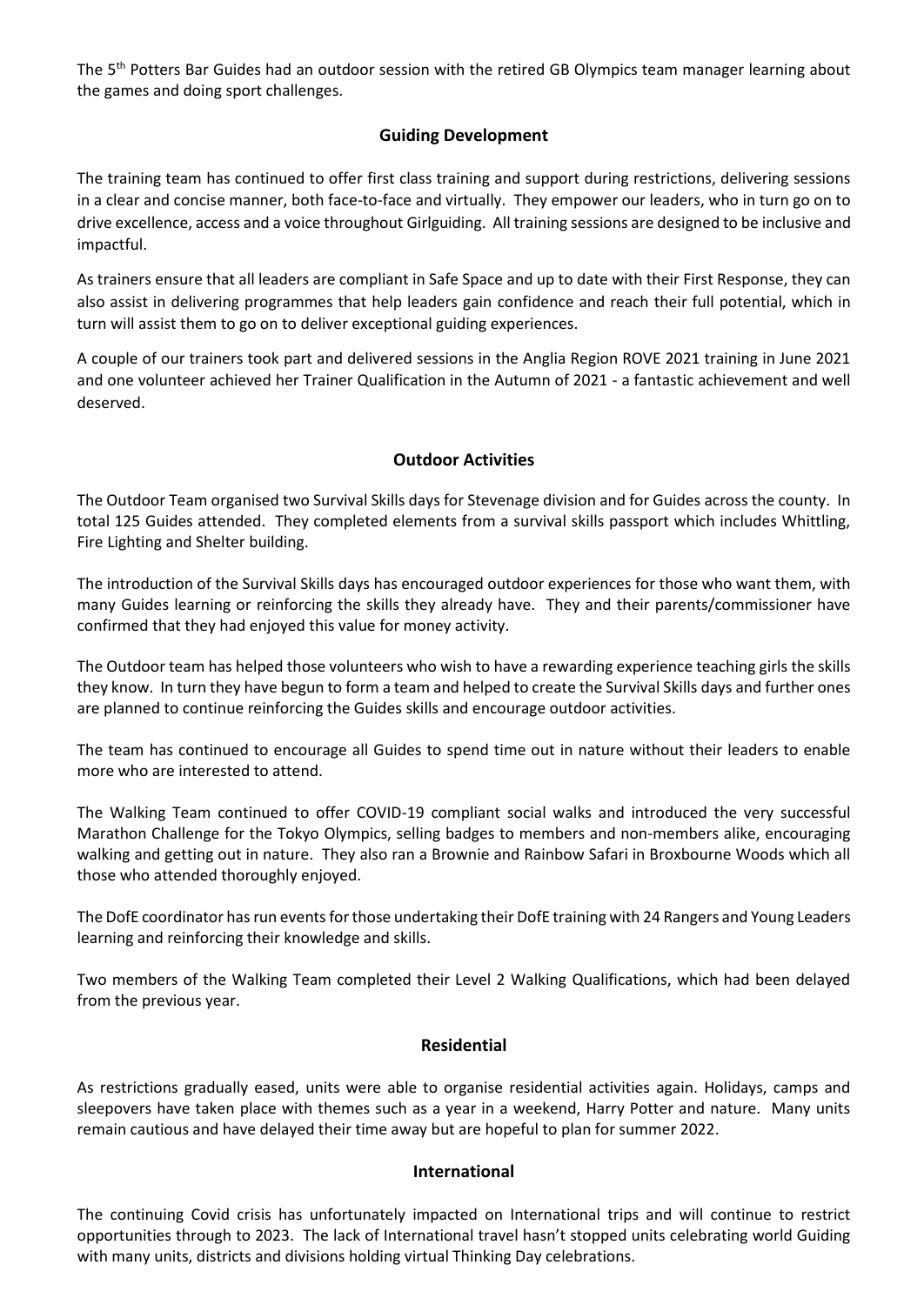The 5<sup>th</sup> Potters Bar Guides had an outdoor session with the retired GB Olympics team manager learning about the games and doing sport challenges.

# **Guiding Development**

The training team has continued to offer first class training and support during restrictions, delivering sessions in a clear and concise manner, both face-to-face and virtually. They empower our leaders, who in turn go on to drive excellence, access and a voice throughout Girlguiding. All training sessions are designed to be inclusive and impactful.

As trainers ensure that all leaders are compliant in Safe Space and up to date with their First Response, they can also assist in delivering programmes that help leaders gain confidence and reach their full potential, which in turn will assist them to go on to deliver exceptional guiding experiences.

A couple of our trainers took part and delivered sessions in the Anglia Region ROVE 2021 training in June 2021 and one volunteer achieved her Trainer Qualification in the Autumn of 2021 - a fantastic achievement and well deserved.

# **Outdoor Activities**

The Outdoor Team organised two Survival Skills days for Stevenage division and for Guides across the county. In total 125 Guides attended. They completed elements from a survival skills passport which includes Whittling, Fire Lighting and Shelter building.

The introduction of the Survival Skills days has encouraged outdoor experiences for those who want them, with many Guides learning or reinforcing the skills they already have. They and their parents/commissioner have confirmed that they had enjoyed this value for money activity.

The Outdoor team has helped those volunteers who wish to have a rewarding experience teaching girls the skills they know. In turn they have begun to form a team and helped to create the Survival Skills days and further ones are planned to continue reinforcing the Guides skills and encourage outdoor activities.

The team has continued to encourage all Guides to spend time out in nature without their leaders to enable more who are interested to attend.

The Walking Team continued to offer COVID-19 compliant social walks and introduced the very successful Marathon Challenge for the Tokyo Olympics, selling badges to members and non-members alike, encouraging walking and getting out in nature. They also ran a Brownie and Rainbow Safari in Broxbourne Woods which all those who attended thoroughly enjoyed.

The DofE coordinator has run events for those undertaking their DofE training with 24 Rangers and Young Leaders learning and reinforcing their knowledge and skills.

Two members of the Walking Team completed their Level 2 Walking Qualifications, which had been delayed from the previous year.

# **Residential**

As restrictions gradually eased, units were able to organise residential activities again. Holidays, camps and sleepovers have taken place with themes such as a year in a weekend, Harry Potter and nature. Many units remain cautious and have delayed their time away but are hopeful to plan for summer 2022.

# **International**

The continuing Covid crisis has unfortunately impacted on International trips and will continue to restrict opportunities through to 2023. The lack of International travel hasn't stopped units celebrating world Guiding with many units, districts and divisions holding virtual Thinking Day celebrations.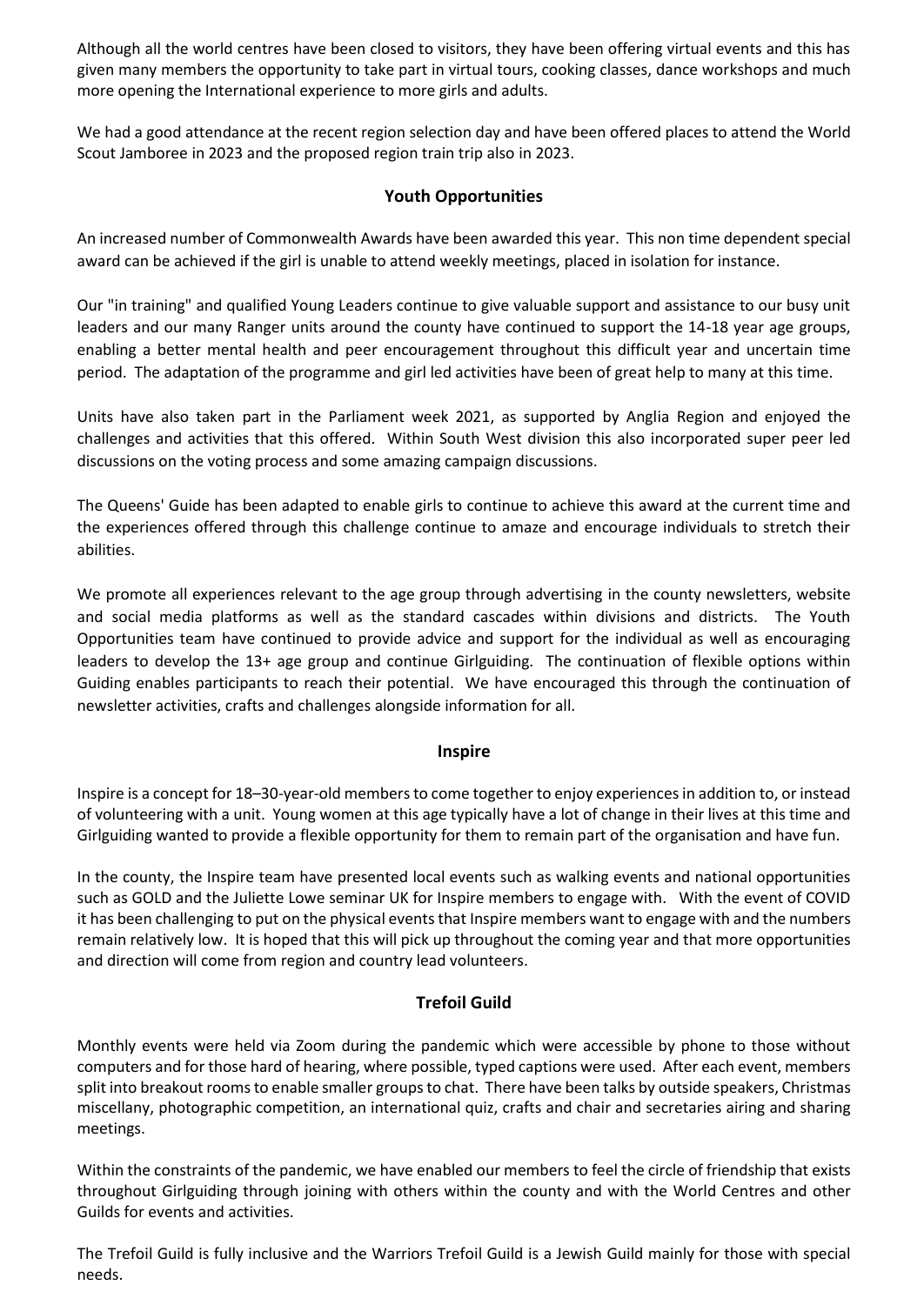Although all the world centres have been closed to visitors, they have been offering virtual events and this has given many members the opportunity to take part in virtual tours, cooking classes, dance workshops and much more opening the International experience to more girls and adults.

We had a good attendance at the recent region selection day and have been offered places to attend the World Scout Jamboree in 2023 and the proposed region train trip also in 2023.

# **Youth Opportunities**

An increased number of Commonwealth Awards have been awarded this year. This non time dependent special award can be achieved if the girl is unable to attend weekly meetings, placed in isolation for instance.

Our "in training" and qualified Young Leaders continue to give valuable support and assistance to our busy unit leaders and our many Ranger units around the county have continued to support the 14-18 year age groups, enabling a better mental health and peer encouragement throughout this difficult year and uncertain time period. The adaptation of the programme and girl led activities have been of great help to many at this time.

Units have also taken part in the Parliament week 2021, as supported by Anglia Region and enjoyed the challenges and activities that this offered. Within South West division this also incorporated super peer led discussions on the voting process and some amazing campaign discussions.

The Queens' Guide has been adapted to enable girls to continue to achieve this award at the current time and the experiences offered through this challenge continue to amaze and encourage individuals to stretch their abilities.

We promote all experiences relevant to the age group through advertising in the county newsletters, website and social media platforms as well as the standard cascades within divisions and districts. The Youth Opportunities team have continued to provide advice and support for the individual as well as encouraging leaders to develop the 13+ age group and continue Girlguiding. The continuation of flexible options within Guiding enables participants to reach their potential. We have encouraged this through the continuation of newsletter activities, crafts and challenges alongside information for all.

# **Inspire**

Inspire is a concept for 18–30-year-old members to come together to enjoy experiences in addition to, or instead of volunteering with a unit. Young women at this age typically have a lot of change in their lives at this time and Girlguiding wanted to provide a flexible opportunity for them to remain part of the organisation and have fun.

In the county, the Inspire team have presented local events such as walking events and national opportunities such as GOLD and the Juliette Lowe seminar UK for Inspire members to engage with. With the event of COVID it has been challenging to put on the physical events that Inspire members want to engage with and the numbers remain relatively low. It is hoped that this will pick up throughout the coming year and that more opportunities and direction will come from region and country lead volunteers.

# **Trefoil Guild**

Monthly events were held via Zoom during the pandemic which were accessible by phone to those without computers and for those hard of hearing, where possible, typed captions were used. After each event, members split into breakout rooms to enable smaller groups to chat. There have been talks by outside speakers, Christmas miscellany, photographic competition, an international quiz, crafts and chair and secretaries airing and sharing meetings.

Within the constraints of the pandemic, we have enabled our members to feel the circle of friendship that exists throughout Girlguiding through joining with others within the county and with the World Centres and other Guilds for events and activities.

The Trefoil Guild is fully inclusive and the Warriors Trefoil Guild is a Jewish Guild mainly for those with special needs.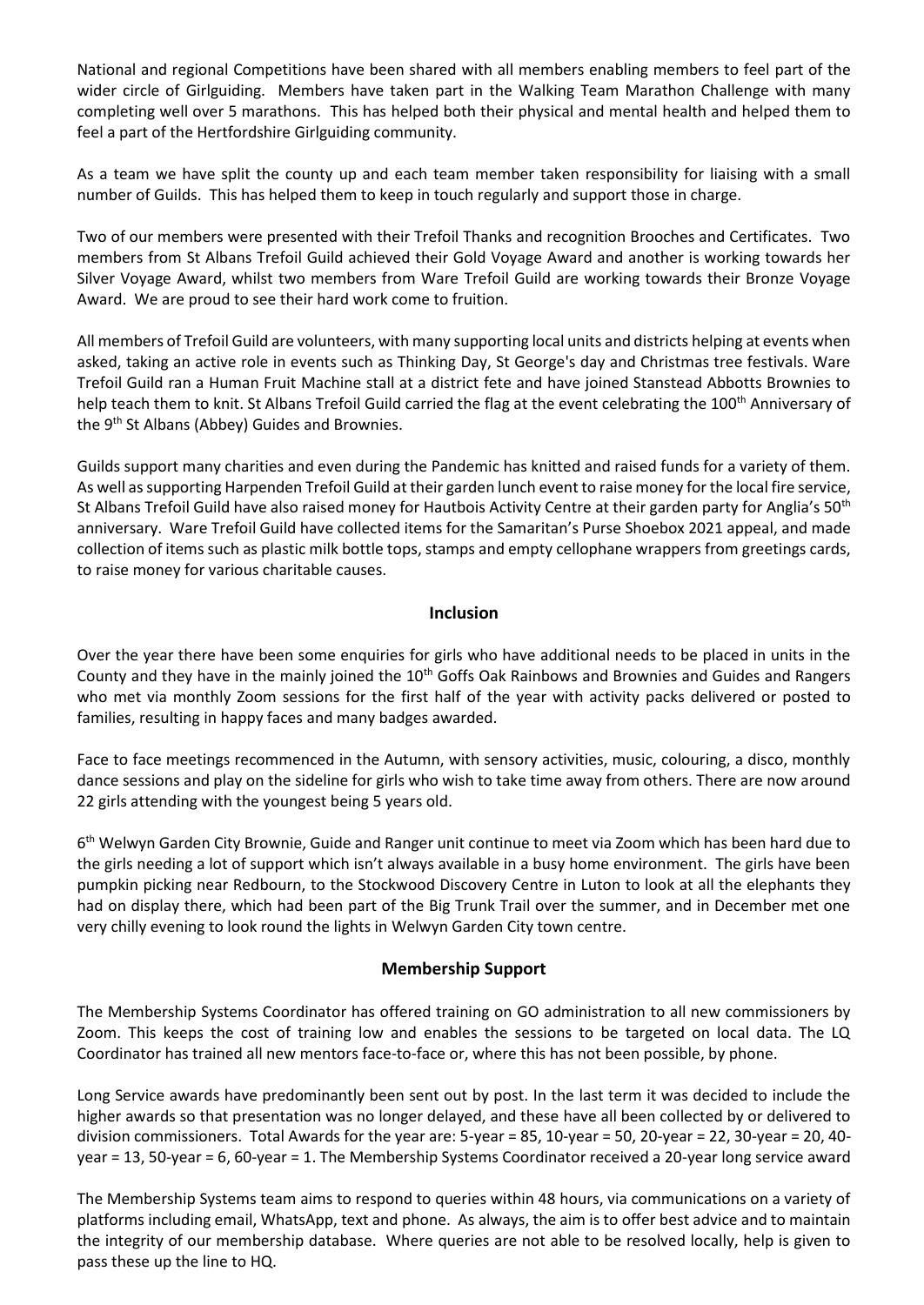National and regional Competitions have been shared with all members enabling members to feel part of the wider circle of Girlguiding. Members have taken part in the Walking Team Marathon Challenge with many completing well over 5 marathons. This has helped both their physical and mental health and helped them to feel a part of the Hertfordshire Girlguiding community.

As a team we have split the county up and each team member taken responsibility for liaising with a small number of Guilds. This has helped them to keep in touch regularly and support those in charge.

Two of our members were presented with their Trefoil Thanks and recognition Brooches and Certificates. Two members from St Albans Trefoil Guild achieved their Gold Voyage Award and another is working towards her Silver Voyage Award, whilst two members from Ware Trefoil Guild are working towards their Bronze Voyage Award. We are proud to see their hard work come to fruition.

All members of Trefoil Guild are volunteers, with many supporting local units and districts helping at events when asked, taking an active role in events such as Thinking Day, St George's day and Christmas tree festivals. Ware Trefoil Guild ran a Human Fruit Machine stall at a district fete and have joined Stanstead Abbotts Brownies to help teach them to knit. St Albans Trefoil Guild carried the flag at the event celebrating the 100<sup>th</sup> Anniversary of the 9<sup>th</sup> St Albans (Abbey) Guides and Brownies.

Guilds support many charities and even during the Pandemic has knitted and raised funds for a variety of them. As well as supporting Harpenden Trefoil Guild at their garden lunch event to raise money for the local fire service, St Albans Trefoil Guild have also raised money for Hautbois Activity Centre at their garden party for Anglia's 50<sup>th</sup> anniversary. Ware Trefoil Guild have collected items for the Samaritan's Purse Shoebox 2021 appeal, and made collection of items such as plastic milk bottle tops, stamps and empty cellophane wrappers from greetings cards, to raise money for various charitable causes.

# **Inclusion**

Over the year there have been some enquiries for girls who have additional needs to be placed in units in the County and they have in the mainly joined the 10<sup>th</sup> Goffs Oak Rainbows and Brownies and Guides and Rangers who met via monthly Zoom sessions for the first half of the year with activity packs delivered or posted to families, resulting in happy faces and many badges awarded.

Face to face meetings recommenced in the Autumn, with sensory activities, music, colouring, a disco, monthly dance sessions and play on the sideline for girls who wish to take time away from others. There are now around 22 girls attending with the youngest being 5 years old.

6<sup>th</sup> Welwyn Garden City Brownie, Guide and Ranger unit continue to meet via Zoom which has been hard due to the girls needing a lot of support which isn't always available in a busy home environment. The girls have been pumpkin picking near Redbourn, to the Stockwood Discovery Centre in Luton to look at all the elephants they had on display there, which had been part of the Big Trunk Trail over the summer, and in December met one very chilly evening to look round the lights in Welwyn Garden City town centre.

# **Membership Support**

The Membership Systems Coordinator has offered training on GO administration to all new commissioners by Zoom. This keeps the cost of training low and enables the sessions to be targeted on local data. The LQ Coordinator has trained all new mentors face-to-face or, where this has not been possible, by phone.

Long Service awards have predominantly been sent out by post. In the last term it was decided to include the higher awards so that presentation was no longer delayed, and these have all been collected by or delivered to division commissioners. Total Awards for the year are: 5-year = 85, 10-year = 50, 20-year = 22, 30-year = 20, 40 year = 13, 50-year = 6, 60-year = 1. The Membership Systems Coordinator received a 20-year long service award

The Membership Systems team aims to respond to queries within 48 hours, via communications on a variety of platforms including email, WhatsApp, text and phone. As always, the aim is to offer best advice and to maintain the integrity of our membership database. Where queries are not able to be resolved locally, help is given to pass these up the line to HQ.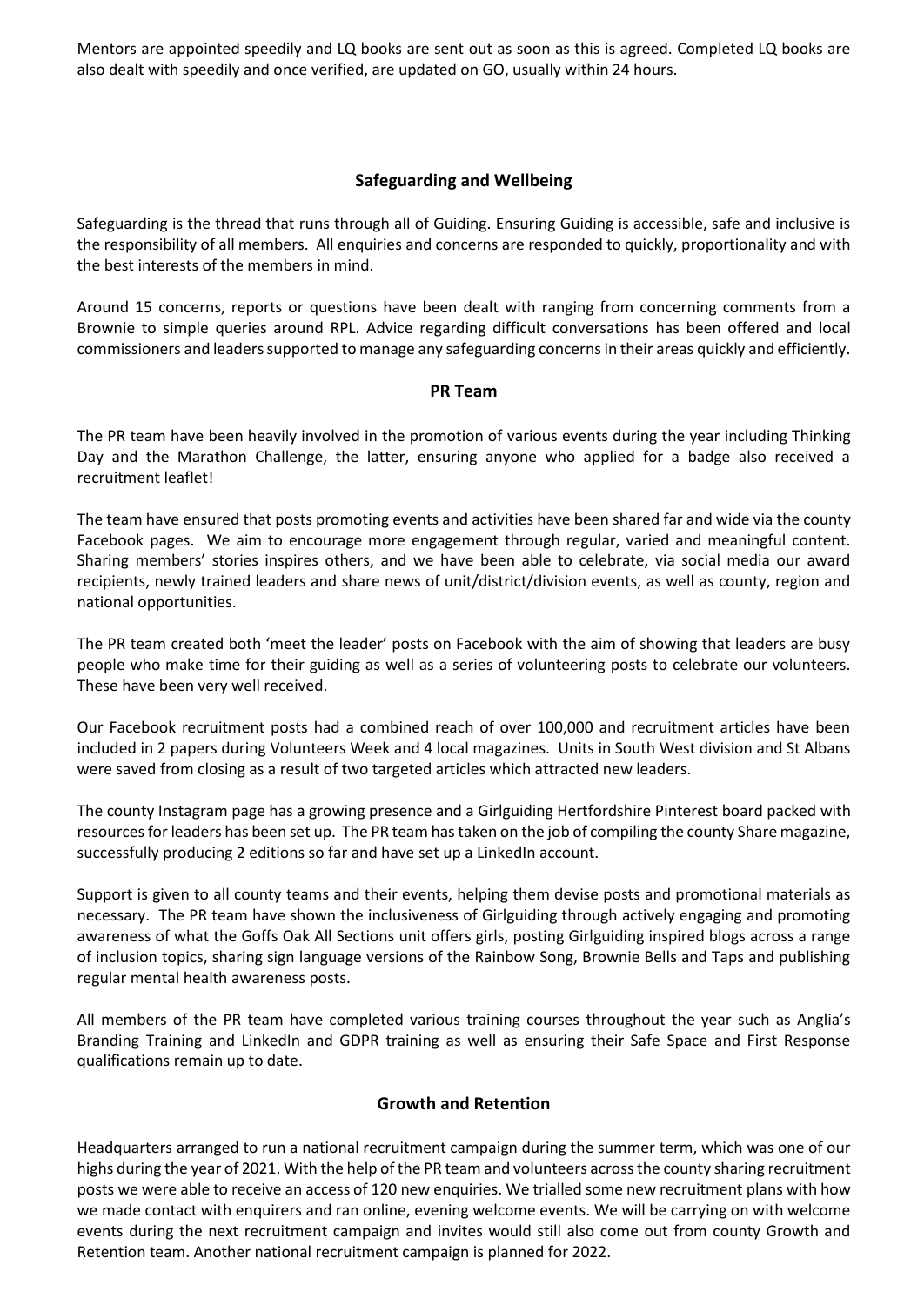Mentors are appointed speedily and LQ books are sent out as soon as this is agreed. Completed LQ books are also dealt with speedily and once verified, are updated on GO, usually within 24 hours.

# **Safeguarding and Wellbeing**

Safeguarding is the thread that runs through all of Guiding. Ensuring Guiding is accessible, safe and inclusive is the responsibility of all members. All enquiries and concerns are responded to quickly, proportionality and with the best interests of the members in mind.

Around 15 concerns, reports or questions have been dealt with ranging from concerning comments from a Brownie to simple queries around RPL. Advice regarding difficult conversations has been offered and local commissioners and leaders supported to manage any safeguarding concerns in their areas quickly and efficiently.

### **PR Team**

The PR team have been heavily involved in the promotion of various events during the year including Thinking Day and the Marathon Challenge, the latter, ensuring anyone who applied for a badge also received a recruitment leaflet!

The team have ensured that posts promoting events and activities have been shared far and wide via the county Facebook pages. We aim to encourage more engagement through regular, varied and meaningful content. Sharing members' stories inspires others, and we have been able to celebrate, via social media our award recipients, newly trained leaders and share news of unit/district/division events, as well as county, region and national opportunities.

The PR team created both 'meet the leader' posts on Facebook with the aim of showing that leaders are busy people who make time for their guiding as well as a series of volunteering posts to celebrate our volunteers. These have been very well received.

Our Facebook recruitment posts had a combined reach of over 100,000 and recruitment articles have been included in 2 papers during Volunteers Week and 4 local magazines. Units in South West division and St Albans were saved from closing as a result of two targeted articles which attracted new leaders.

The county Instagram page has a growing presence and a Girlguiding Hertfordshire Pinterest board packed with resources for leaders has been set up. The PR team has taken on the job of compiling the county Share magazine, successfully producing 2 editions so far and have set up a LinkedIn account.

Support is given to all county teams and their events, helping them devise posts and promotional materials as necessary. The PR team have shown the inclusiveness of Girlguiding through actively engaging and promoting awareness of what the Goffs Oak All Sections unit offers girls, posting Girlguiding inspired blogs across a range of inclusion topics, sharing sign language versions of the Rainbow Song, Brownie Bells and Taps and publishing regular mental health awareness posts.

All members of the PR team have completed various training courses throughout the year such as Anglia's Branding Training and LinkedIn and GDPR training as well as ensuring their Safe Space and First Response qualifications remain up to date.

### **Growth and Retention**

Headquarters arranged to run a national recruitment campaign during the summer term, which was one of our highs during the year of 2021. With the help of the PR team and volunteers across the county sharing recruitment posts we were able to receive an access of 120 new enquiries. We trialled some new recruitment plans with how we made contact with enquirers and ran online, evening welcome events. We will be carrying on with welcome events during the next recruitment campaign and invites would still also come out from county Growth and Retention team. Another national recruitment campaign is planned for 2022.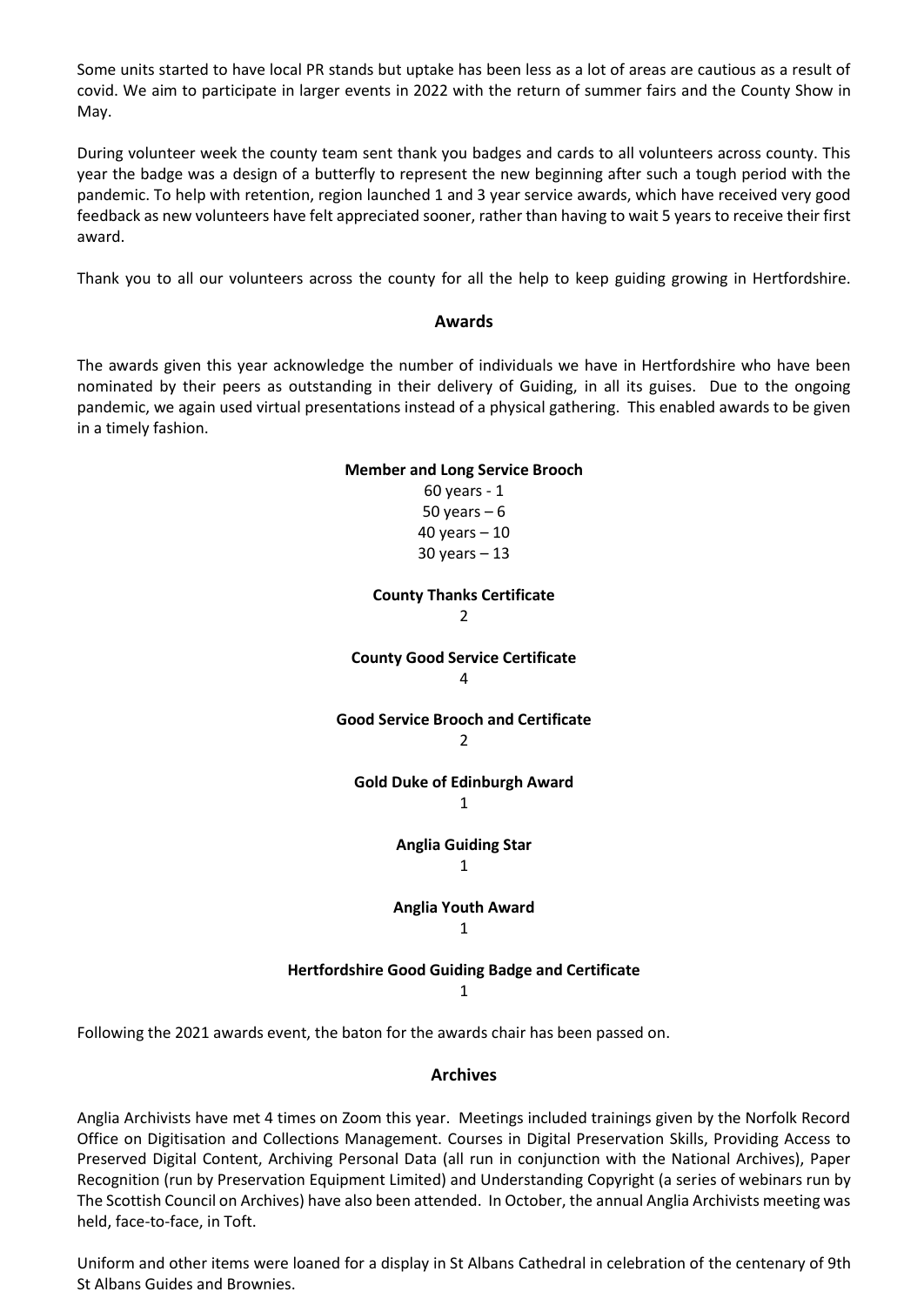Some units started to have local PR stands but uptake has been less as a lot of areas are cautious as a result of covid. We aim to participate in larger events in 2022 with the return of summer fairs and the County Show in May.

During volunteer week the county team sent thank you badges and cards to all volunteers across county. This year the badge was a design of a butterfly to represent the new beginning after such a tough period with the pandemic. To help with retention, region launched 1 and 3 year service awards, which have received very good feedback as new volunteers have felt appreciated sooner, rather than having to wait 5 years to receive their first award.

Thank you to all our volunteers across the county for all the help to keep guiding growing in Hertfordshire.

#### **Awards**

The awards given this year acknowledge the number of individuals we have in Hertfordshire who have been nominated by their peers as outstanding in their delivery of Guiding, in all its guises. Due to the ongoing pandemic, we again used virtual presentations instead of a physical gathering. This enabled awards to be given in a timely fashion.

# **Member and Long Service Brooch** 60 years - 1 50 years  $-6$ 40 years – 10 30 years – 13 **County Thanks Certificate**  $\mathfrak{Z}$ **County Good Service Certificate** 4 **Good Service Brooch and Certificate**  $\overline{2}$ **Gold Duke of Edinburgh Award** 1 **Anglia Guiding Star** 1 **Anglia Youth Award** 1 **Hertfordshire Good Guiding Badge and Certificate** 1

Following the 2021 awards event, the baton for the awards chair has been passed on.

### **Archives**

Anglia Archivists have met 4 times on Zoom this year. Meetings included trainings given by the Norfolk Record Office on Digitisation and Collections Management. Courses in Digital Preservation Skills, Providing Access to Preserved Digital Content, Archiving Personal Data (all run in conjunction with the National Archives), Paper Recognition (run by Preservation Equipment Limited) and Understanding Copyright (a series of webinars run by The Scottish Council on Archives) have also been attended. In October, the annual Anglia Archivists meeting was held, face-to-face, in Toft.

Uniform and other items were loaned for a display in St Albans Cathedral in celebration of the centenary of 9th St Albans Guides and Brownies.